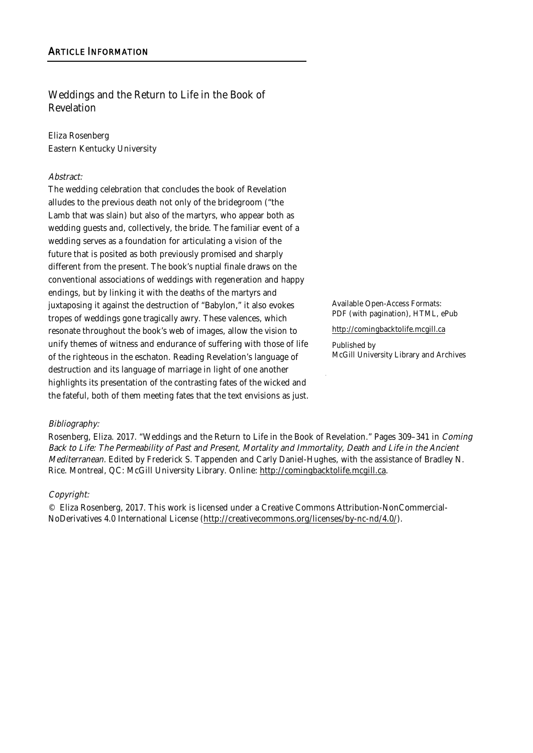## Weddings and the Return to Life in the Book of Revelation

Eliza Rosenberg Eastern Kentucky University

#### Abstract:

The wedding celebration that concludes the book of Revelation alludes to the previous death not only of the bridegroom ("the Lamb that was slain) but also of the martyrs, who appear both as wedding guests and, collectively, the bride. The familiar event of a wedding serves as a foundation for articulating a vision of the future that is posited as both previously promised and sharply different from the present. The book's nuptial finale draws on the conventional associations of weddings with regeneration and happy endings, but by linking it with the deaths of the martyrs and juxtaposing it against the destruction of "Babylon," it also evokes tropes of weddings gone tragically awry. These valences, which resonate throughout the book's web of images, allow the vision to unify themes of witness and endurance of suffering with those of life of the righteous in the eschaton. Reading Revelation's language of destruction and its language of marriage in light of one another highlights its presentation of the contrasting fates of the wicked and the fateful, both of them meeting fates that the text envisions as just.

Available Open-Access Formats: PDF (with pagination), HTML, ePub

http://comingbacktolife.mcgill.ca

Published by McGill University Library and Archives

#### Bibliography:

Rosenberg, Eliza. 2017. "Weddings and the Return to Life in the Book of Revelation." Pages 309–341 in Coming Back to Life: The Permeability of Past and Present, Mortality and Immortality, Death and Life in the Ancient Mediterranean. Edited by Frederick S. Tappenden and Carly Daniel-Hughes, with the assistance of Bradley N. Rice. Montreal, QC: McGill University Library. Online: http://comingbacktolife.mcgill.ca.

#### Copyright:

© Eliza Rosenberg, 2017. This work is licensed under a Creative Commons Attribution-NonCommercial-NoDerivatives 4.0 International License (http://creativecommons.org/licenses/by-nc-nd/4.0/).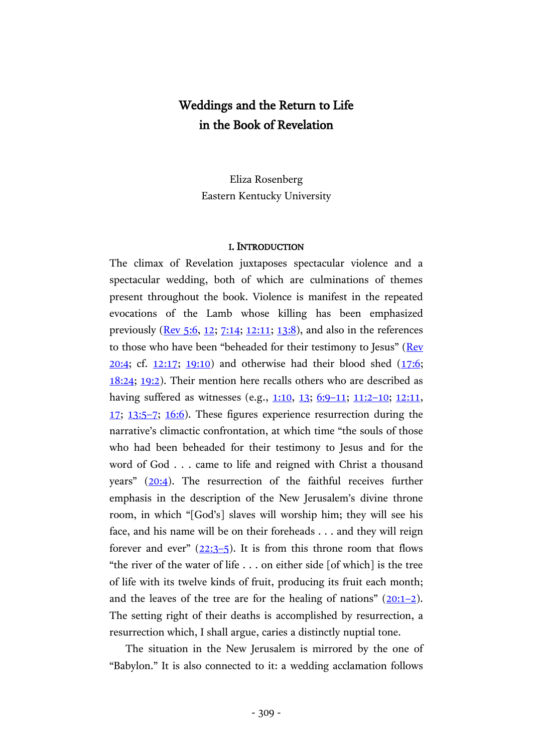# Weddings and the Return to Life in the Book of Revelation

Eliza Rosenberg Eastern Kentucky University

#### I. INTRODUCTION

The climax of Revelation juxtaposes spectacular violence and a spectacular wedding, both of which are culminations of themes present throughout the book. Violence is manifest in the repeated evocations of the Lamb whose killing has been emphasized previously [\(Rev](http://www.academic-bible.com/bible-text/Revelation5.6/NA/) 5:6, [12;](http://www.academic-bible.com/bible-text/Revelation5.12/NA/) [7:14;](http://www.academic-bible.com/bible-text/Revelation7.14/NA/) [12:11;](http://www.academic-bible.com/bible-text/Revelation12.11/NA/) [13:8\)](http://www.academic-bible.com/bible-text/Revelation13.8/NA/), and also in the references to those who have been "beheaded for their testimony to Jesus" ([Rev](http://www.academic-bible.com/bible-text/Revelation20.4/NA/) [20:4;](http://www.academic-bible.com/bible-text/Revelation20.4/NA/) cf.  $12:17$ ;  $19:10$ ) and otherwise had their blood shed  $(17:6;$ [18:24;](http://www.academic-bible.com/bible-text/Revelation18.24/NA/) [19:2\)](http://www.academic-bible.com/bible-text/Revelation19.2/NA/). Their mention here recalls others who are described as having suffered as witnesses (e.g., [1:10,](http://www.academic-bible.com/bible-text/Revelation1.10/NA/) [13;](http://www.academic-bible.com/bible-text/Revelation1.13/NA/) [6:9](http://www.academic-bible.com/bible-text/Revelation6.9-11/NA/)-11; [11:2](http://www.academic-bible.com/bible-text/Revelation11.2-10/NA/)-10; [12:11,](http://www.academic-bible.com/bible-text/Revelation12.11/NA/) [17;](http://www.academic-bible.com/bible-text/Revelation12.17/NA/) [13:5](http://www.academic-bible.com/bible-text/Revelation13.5-7/NA/)–7; [16:6\)](http://www.academic-bible.com/bible-text/Revelation16.6/NA/). These figures experience resurrection during the narrative's climactic confrontation, at which time "the souls of those who had been beheaded for their testimony to Jesus and for the word of God . . . came to life and reigned with Christ a thousand years" ([20:4\)](http://www.academic-bible.com/bible-text/Revelation20.4/NA/). The resurrection of the faithful receives further emphasis in the description of the New Jerusalem's divine throne room, in which "[God's] slaves will worship him; they will see his face, and his name will be on their foreheads . . . and they will reign forever and ever"  $(22:3-5)$  $(22:3-5)$  $(22:3-5)$ . It is from this throne room that flows "the river of the water of life . . . on either side [of which] is the tree of life with its twelve kinds of fruit, producing its fruit each month; and the leaves of the tree are for the healing of nations"  $(20:1-2)$  $(20:1-2)$  $(20:1-2)$ . The setting right of their deaths is accomplished by resurrection, a resurrection which, I shall argue, caries a distinctly nuptial tone.

The situation in the New Jerusalem is mirrored by the one of "Babylon." It is also connected to it: a wedding acclamation follows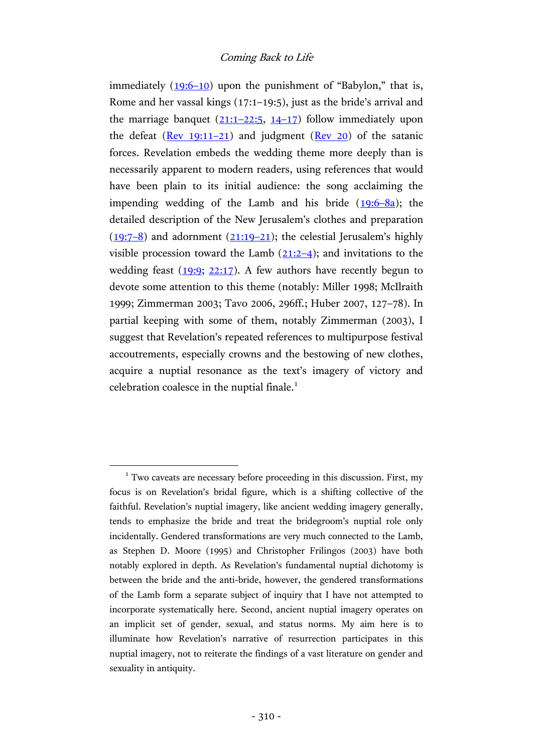immediately  $(19:6-10)$  $(19:6-10)$  upon the punishment of "Babylon," that is, Rome and her vassal kings (17:1–19:5), just as the bride's arrival and the marriage banquet  $(21:1-22:5, 14-17)$  $(21:1-22:5, 14-17)$  $(21:1-22:5, 14-17)$  $(21:1-22:5, 14-17)$  follow immediately upon the defeat  $(Rev 19:11-21)$  $(Rev 19:11-21)$  and judgment  $(Rev 20)$  of the satanic forces. Revelation embeds the wedding theme more deeply than is necessarily apparent to modern readers, using references that would have been plain to its initial audience: the song acclaiming the impending wedding of the Lamb and his bride  $(19.6-8a)$ ; the detailed description of the New Jerusalem's clothes and preparation  $(19:7-8)$  $(19:7-8)$  and adornment  $(21:19-21)$  $(21:19-21)$ ; the celestial Jerusalem's highly visible procession toward the Lamb  $(21:2-4)$  $(21:2-4)$ ; and invitations to the wedding feast  $(19:9; 22:17)$  $(19:9; 22:17)$ . A few authors have recently begun to devote some attention to this theme (notably: Miller 1998; McIlraith 1999; Zimmerman 2003; Tavo 2006, 296ff.; Huber 2007, 127–78). In partial keeping with some of them, notably Zimmerman (2003), I suggest that Revelation's repeated references to multipurpose festival accoutrements, especially crowns and the bestowing of new clothes, acquire a nuptial resonance as the text's imagery of victory and celebration coalesce in the nuptial finale.<sup>1</sup>

<sup>&</sup>lt;sup>1</sup> Two caveats are necessary before proceeding in this discussion. First, my focus is on Revelation's bridal figure, which is a shifting collective of the faithful. Revelation's nuptial imagery, like ancient wedding imagery generally, tends to emphasize the bride and treat the bridegroom's nuptial role only incidentally. Gendered transformations are very much connected to the Lamb, as Stephen D. Moore (1995) and Christopher Frilingos (2003) have both notably explored in depth. As Revelation's fundamental nuptial dichotomy is between the bride and the anti-bride, however, the gendered transformations of the Lamb form a separate subject of inquiry that I have not attempted to incorporate systematically here. Second, ancient nuptial imagery operates on an implicit set of gender, sexual, and status norms. My aim here is to illuminate how Revelation's narrative of resurrection participates in this nuptial imagery, not to reiterate the findings of a vast literature on gender and sexuality in antiquity.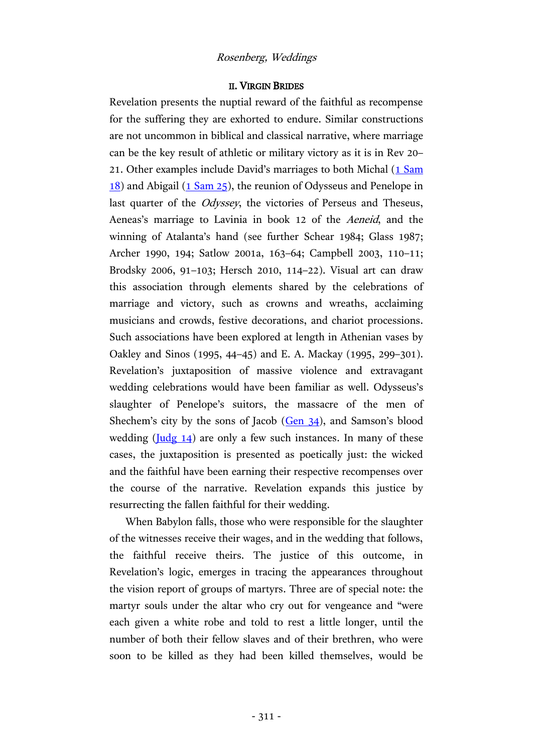#### II. VIRGIN BRIDES

Revelation presents the nuptial reward of the faithful as recompense for the suffering they are exhorted to endure. Similar constructions are not uncommon in biblical and classical narrative, where marriage can be the key result of athletic or military victory as it is in Rev 20– 21. Other examples include David's marriages to both Michal [\(1 Sam](http://www.academic-bible.com/bible-text/1Samuel18/bhs/) [18\)](http://www.academic-bible.com/bible-text/1Samuel18/bhs/) and Abigail [\(1 Sam](http://www.academic-bible.com/bible-text/1Samuel25/bhs/) 25), the reunion of Odysseus and Penelope in last quarter of the Odyssey, the victories of Perseus and Theseus, Aeneas's marriage to Lavinia in book 12 of the Aeneid, and the winning of Atalanta's hand (see further Schear 1984; Glass 1987; Archer 1990, 194; Satlow 2001a, 163–64; Campbell 2003, 110–11; Brodsky 2006, 91–103; Hersch 2010, 114–22). Visual art can draw this association through elements shared by the celebrations of marriage and victory, such as crowns and wreaths, acclaiming musicians and crowds, festive decorations, and chariot processions. Such associations have been explored at length in Athenian vases by Oakley and Sinos (1995, 44–45) and E. A. Mackay (1995, 299–301). Revelation's juxtaposition of massive violence and extravagant wedding celebrations would have been familiar as well. Odysseus's slaughter of Penelope's suitors, the massacre of the men of Shechem's city by the sons of Jacob [\(Gen](http://www.academic-bible.com/bible-text/Genesis34/bhs/) 34), and Samson's blood wedding  $(\underline{Judg 14})$  are only a few such instances. In many of these cases, the juxtaposition is presented as poetically just: the wicked and the faithful have been earning their respective recompenses over the course of the narrative. Revelation expands this justice by resurrecting the fallen faithful for their wedding.

When Babylon falls, those who were responsible for the slaughter of the witnesses receive their wages, and in the wedding that follows, the faithful receive theirs. The justice of this outcome, in Revelation's logic, emerges in tracing the appearances throughout the vision report of groups of martyrs. Three are of special note: the martyr souls under the altar who cry out for vengeance and "were each given a white robe and told to rest a little longer, until the number of both their fellow slaves and of their brethren, who were soon to be killed as they had been killed themselves, would be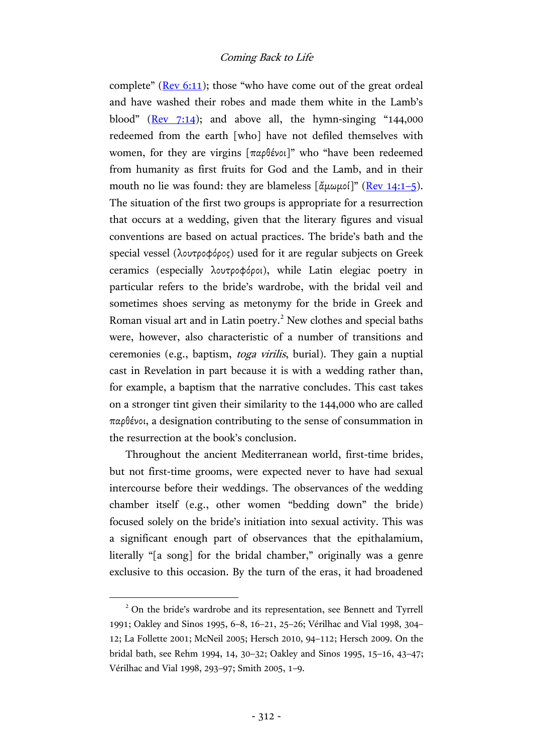complete" ( $\frac{\text{Rev } 6:11}{\text{S}}$  $\frac{\text{Rev } 6:11}{\text{S}}$  $\frac{\text{Rev } 6:11}{\text{S}}$ ); those "who have come out of the great ordeal and have washed their robes and made them white in the Lamb's blood" ( $\text{Rev } 7:14$ ); and above all, the hymn-singing "144,000 redeemed from the earth [who] have not defiled themselves with women, for they are virgins [παρθένοι]" who "have been redeemed from humanity as first fruits for God and the Lamb, and in their mouth no lie was found: they are blameless  $\left[\frac{\hat{\alpha}}{\mu}\omega\mu\omega\right]$ " (Rev [14:1](http://www.academic-bible.com/bible-text/Revelation14.1-5/NA/)–5). The situation of the first two groups is appropriate for a resurrection that occurs at a wedding, given that the literary figures and visual conventions are based on actual practices. The bride's bath and the special vessel (λουτροφόρος) used for it are regular subjects on Greek ceramics (especially λουτροφόροι), while Latin elegiac poetry in particular refers to the bride's wardrobe, with the bridal veil and sometimes shoes serving as metonymy for the bride in Greek and Roman visual art and in Latin poetry.<sup>2</sup> New clothes and special baths were, however, also characteristic of a number of transitions and ceremonies (e.g., baptism, toga virilis, burial). They gain a nuptial cast in Revelation in part because it is with a wedding rather than, for example, a baptism that the narrative concludes. This cast takes on a stronger tint given their similarity to the 144,000 who are called παρθένοι, a designation contributing to the sense of consummation in the resurrection at the book's conclusion.

Throughout the ancient Mediterranean world, first-time brides, but not first-time grooms, were expected never to have had sexual intercourse before their weddings. The observances of the wedding chamber itself (e.g., other women "bedding down" the bride) focused solely on the bride's initiation into sexual activity. This was a significant enough part of observances that the epithalamium, literally "[a song] for the bridal chamber," originally was a genre exclusive to this occasion. By the turn of the eras, it had broadened

<sup>&</sup>lt;sup>2</sup> On the bride's wardrobe and its representation, see Bennett and Tyrrell 1991; Oakley and Sinos 1995, 6–8, 16–21, 25–26; Vérilhac and Vial 1998, 304– 12; La Follette 2001; McNeil 2005; Hersch 2010, 94–112; Hersch 2009. On the bridal bath, see Rehm 1994, 14, 30–32; Oakley and Sinos 1995, 15–16, 43–47; Vérilhac and Vial 1998, 293–97; Smith 2005, 1–9.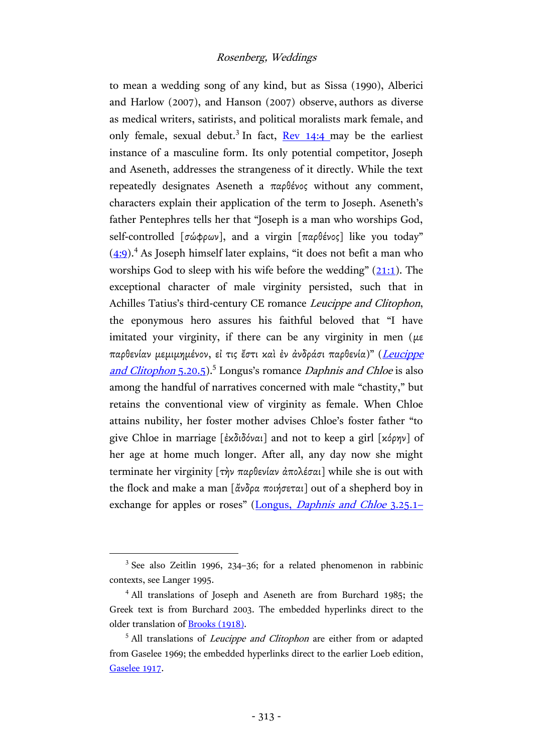to mean a wedding song of any kind, but as Sissa (1990), Alberici and Harlow (2007), and Hanson (2007) observe, authors as diverse as medical writers, satirists, and political moralists mark female, and only female, sexual debut.<sup>3</sup> In fact, Rev [14:4](http://www.academic-bible.com/bible-text/Revelation14.4/NA/) may be the earliest instance of a masculine form. Its only potential competitor, Joseph and Aseneth, addresses the strangeness of it directly. While the text repeatedly designates Aseneth a παρθένος without any comment, characters explain their application of the term to Joseph. Aseneth's father Pentephres tells her that "Joseph is a man who worships God, self-controlled [σώφρων], and a virgin [παρθένος] like you today"  $(4:9)$ <sup>4</sup>. As Joseph himself later explains, "it does not befit a man who worships God to sleep with his wife before the wedding"  $(21:1)$  $(21:1)$ . The exceptional character of male virginity persisted, such that in Achilles Tatius's third-century CE romance Leucippe and Clitophon, the eponymous hero assures his faithful beloved that "I have imitated your virginity, if there can be any virginity in men ( $\mu \varepsilon$ ) παρθενίαν μεμιμημένον, εἰ τις ἔστι καὶ ἐν ἀνδράσι παρθενία)" (Leucippe [and Clitophon](https://archive.org/stream/achillestatiuswi00achiuoft#page/280/mode/2up) 5.20.5).<sup>5</sup> Longus's romance Daphnis and Chloe is also among the handful of narratives concerned with male "chastity," but retains the conventional view of virginity as female. When Chloe attains nubility, her foster mother advises Chloe's foster father "to give Chloe in marriage [ἐκδιδόναι] and not to keep a girl [κόρην] of her age at home much longer. After all, any day now she might terminate her virginity [τὴν παρθενίαν ἀπολέσαι] while she is out with the flock and make a man [ἄνδρα ποιήσεται] out of a shepherd boy in exchange for apples or roses" (Longus, *[Daphnis and Chloe](https://archive.org/stream/daphnischloe00long#page/164/mode/2up)* 3.25.1–

<sup>&</sup>lt;sup>3</sup> See also Zeitlin 1996, 234-36; for a related phenomenon in rabbinic contexts, see Langer 1995.

<sup>&</sup>lt;sup>4</sup> All translations of Joseph and Aseneth are from Burchard 1985; the Greek text is from Burchard 2003. The embedded hyperlinks direct to the older translation of [Brooks \(1918\).](https://archive.org/stream/josephasenathcon00broo)

<sup>&</sup>lt;sup>5</sup> All translations of *Leucippe and Clitophon* are either from or adapted from Gaselee 1969; the embedded hyperlinks direct to the earlier Loeb edition, [Gaselee 1917.](https://archive.org/stream/achillestatiuswi00achiuoft)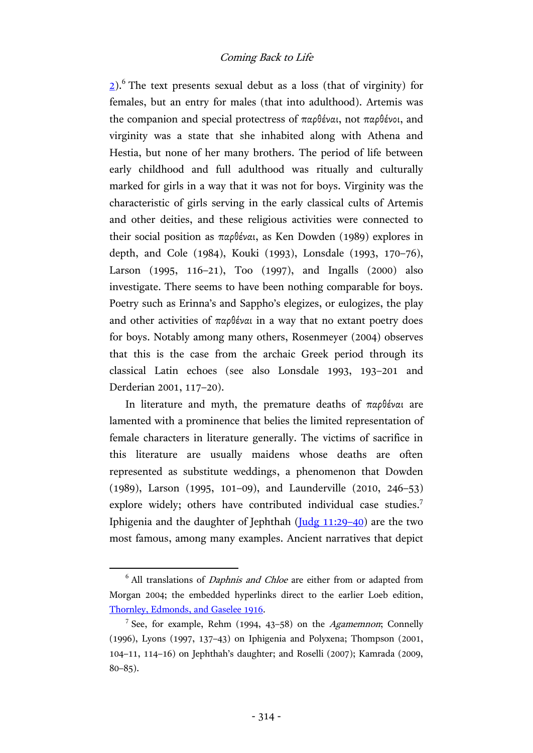$2)$ .<sup>6</sup> The text presents sexual debut as a loss (that of virginity) for females, but an entry for males (that into adulthood). Artemis was the companion and special protectress of παρθέναι, not παρθένοι, and virginity was a state that she inhabited along with Athena and Hestia, but none of her many brothers. The period of life between early childhood and full adulthood was ritually and culturally marked for girls in a way that it was not for boys. Virginity was the characteristic of girls serving in the early classical cults of Artemis and other deities, and these religious activities were connected to their social position as παρθέναι, as Ken Dowden (1989) explores in depth, and Cole (1984), Kouki (1993), Lonsdale (1993, 170–76), Larson (1995, 116–21), Too (1997), and Ingalls (2000) also investigate. There seems to have been nothing comparable for boys. Poetry such as Erinna's and Sappho's elegizes, or eulogizes, the play and other activities of παρθέναι in a way that no extant poetry does for boys. Notably among many others, Rosenmeyer (2004) observes that this is the case from the archaic Greek period through its classical Latin echoes (see also Lonsdale 1993, 193–201 and Derderian 2001, 117–20).

In literature and myth, the premature deaths of παρθέναι are lamented with a prominence that belies the limited representation of female characters in literature generally. The victims of sacrifice in this literature are usually maidens whose deaths are often represented as substitute weddings, a phenomenon that Dowden (1989), Larson (1995, 101–09), and Launderville (2010, 246–53) explore widely; others have contributed individual case studies.<sup>7</sup> Iphigenia and the daughter of Jephthah  $(\underline{Judg 11:29-40})$  $(\underline{Judg 11:29-40})$  $(\underline{Judg 11:29-40})$  are the two most famous, among many examples. Ancient narratives that depict

 $6$  All translations of *Daphnis and Chloe* are either from or adapted from Morgan 2004; the embedded hyperlinks direct to the earlier Loeb edition, [Thornley, Edmonds, and Gaselee 1916.](https://archive.org/stream/daphnischloe00long)

<sup>&</sup>lt;sup>7</sup> See, for example, Rehm (1994, 43-58) on the *Agamemnon*; Connelly (1996), Lyons (1997, 137–43) on Iphigenia and Polyxena; Thompson (2001, 104–11, 114–16) on Jephthah's daughter; and Roselli (2007); Kamrada (2009, 80–85).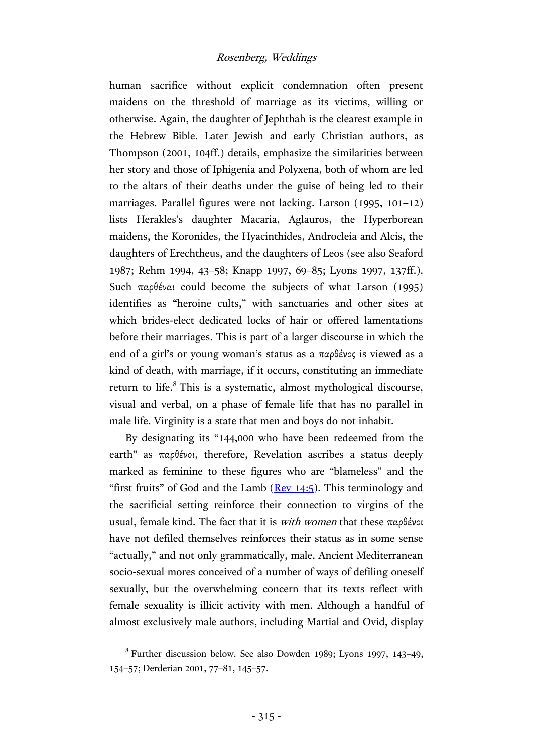human sacrifice without explicit condemnation often present maidens on the threshold of marriage as its victims, willing or otherwise. Again, the daughter of Jephthah is the clearest example in the Hebrew Bible. Later Jewish and early Christian authors, as Thompson (2001, 104ff.) details, emphasize the similarities between her story and those of Iphigenia and Polyxena, both of whom are led to the altars of their deaths under the guise of being led to their marriages. Parallel figures were not lacking. Larson (1995, 101–12) lists Herakles's daughter Macaria, Aglauros, the Hyperborean maidens, the Koronides, the Hyacinthides, Androcleia and Alcis, the daughters of Erechtheus, and the daughters of Leos (see also Seaford 1987; Rehm 1994, 43–58; Knapp 1997, 69–85; Lyons 1997, 137ff.). Such παρθέναι could become the subjects of what Larson (1995) identifies as "heroine cults," with sanctuaries and other sites at which brides-elect dedicated locks of hair or offered lamentations before their marriages. This is part of a larger discourse in which the end of a girl's or young woman's status as a παρθένος is viewed as a kind of death, with marriage, if it occurs, constituting an immediate return to life.<sup>8</sup> This is a systematic, almost mythological discourse, visual and verbal, on a phase of female life that has no parallel in male life. Virginity is a state that men and boys do not inhabit.

By designating its "144,000 who have been redeemed from the earth" as παρθένοι, therefore, Revelation ascribes a status deeply marked as feminine to these figures who are "blameless" and the "first fruits" of God and the Lamb  $($ Rev  $14:5)$ . This terminology and the sacrificial setting reinforce their connection to virgins of the usual, female kind. The fact that it is with women that these παρθένοι have not defiled themselves reinforces their status as in some sense "actually," and not only grammatically, male. Ancient Mediterranean socio-sexual mores conceived of a number of ways of defiling oneself sexually, but the overwhelming concern that its texts reflect with female sexuality is illicit activity with men. Although a handful of almost exclusively male authors, including Martial and Ovid, display

<sup>8</sup> Further discussion below. See also Dowden 1989; Lyons 1997, 143–49, 154–57; Derderian 2001, 77–81, 145–57.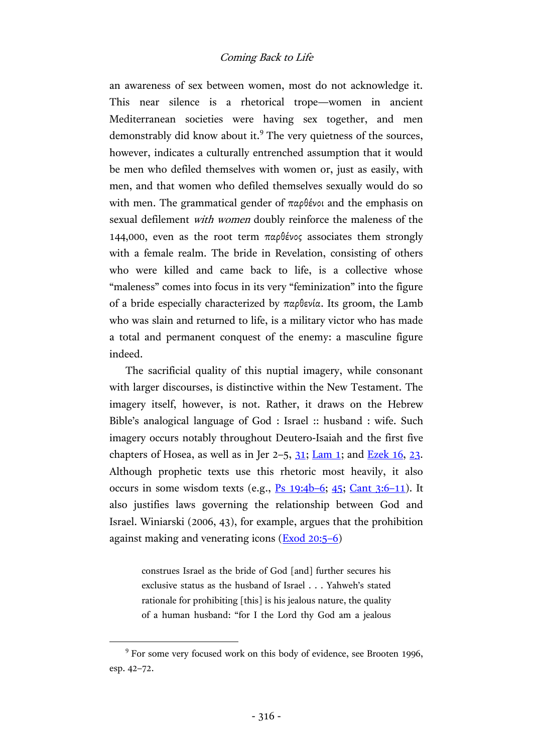an awareness of sex between women, most do not acknowledge it. This near silence is a rhetorical trope—women in ancient Mediterranean societies were having sex together, and men demonstrably did know about it.<sup>9</sup> The very quietness of the sources, however, indicates a culturally entrenched assumption that it would be men who defiled themselves with women or, just as easily, with men, and that women who defiled themselves sexually would do so with men. The grammatical gender of  $\pi \alpha \beta$  *ένοι* and the emphasis on sexual defilement with women doubly reinforce the maleness of the 144,000, even as the root term παρθένος associates them strongly with a female realm. The bride in Revelation, consisting of others who were killed and came back to life, is a collective whose "maleness" comes into focus in its very "feminization" into the figure of a bride especially characterized by παρθενία. Its groom, the Lamb who was slain and returned to life, is a military victor who has made a total and permanent conquest of the enemy: a masculine figure indeed.

The sacrificial quality of this nuptial imagery, while consonant with larger discourses, is distinctive within the New Testament. The imagery itself, however, is not. Rather, it draws on the Hebrew Bible's analogical language of God : Israel :: husband : wife. Such imagery occurs notably throughout Deutero-Isaiah and the first five chapters of Hosea, as well as in Jer  $2-5$ ,  $31$ ; [Lam](http://www.academic-bible.com/bible-text/Lamentations1.1-22/bhs/) 1; and [Ezek](http://www.academic-bible.com/bible-text/Ezekiel16.1-63/bhs/) 16, [23.](http://www.academic-bible.com/bible-text/Ezekiel23.1-49/bhs/) Although prophetic texts use this rhetoric most heavily, it also occurs in some wisdom texts (e.g.,  $\frac{P}{S}$  [19:4b](http://www.academic-bible.com/bible-text/Psalms19:4-6/bhs/)–6; [45;](http://www.academic-bible.com/bible-text/Psalms45.1-17/bhs/) [Cant 3:6](http://www.academic-bible.com/bible-text/Song3/bhs/)–11). It also justifies laws governing the relationship between God and Israel. Winiarski (2006, 43), for example, argues that the prohibition against making and venerating icons [\(Exod](http://www.academic-bible.com/bible-text/Exodus20.5-6/bhs/) 20:5–6)

> construes Israel as the bride of God [and] further secures his exclusive status as the husband of Israel . . . Yahweh's stated rationale for prohibiting [this] is his jealous nature, the quality of a human husband: "for I the Lord thy God am a jealous

<sup>&</sup>lt;sup>9</sup> For some very focused work on this body of evidence, see Brooten 1996, esp. 42–72.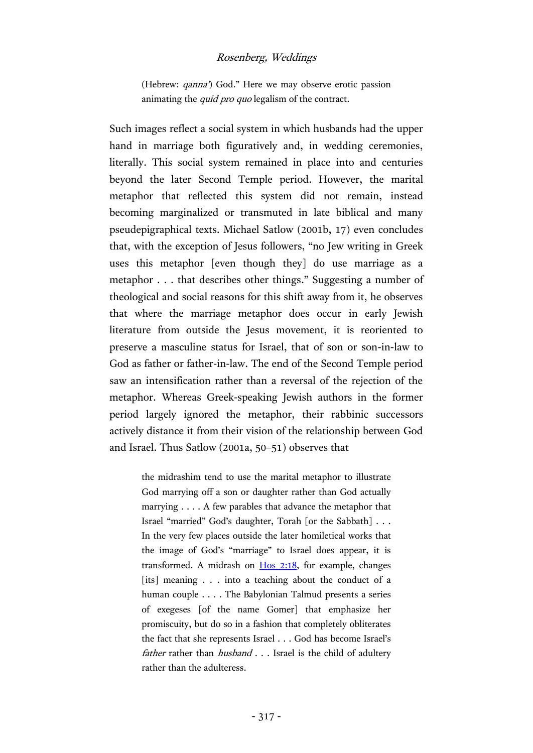(Hebrew: *qanna*) God." Here we may observe erotic passion animating the quid pro quo legalism of the contract.

Such images reflect a social system in which husbands had the upper hand in marriage both figuratively and, in wedding ceremonies, literally. This social system remained in place into and centuries beyond the later Second Temple period. However, the marital metaphor that reflected this system did not remain, instead becoming marginalized or transmuted in late biblical and many pseudepigraphical texts. Michael Satlow (2001b, 17) even concludes that, with the exception of Jesus followers, "no Jew writing in Greek uses this metaphor [even though they] do use marriage as a metaphor . . . that describes other things." Suggesting a number of theological and social reasons for this shift away from it, he observes that where the marriage metaphor does occur in early Jewish literature from outside the Jesus movement, it is reoriented to preserve a masculine status for Israel, that of son or son-in-law to God as father or father-in-law. The end of the Second Temple period saw an intensification rather than a reversal of the rejection of the metaphor. Whereas Greek-speaking Jewish authors in the former period largely ignored the metaphor, their rabbinic successors actively distance it from their vision of the relationship between God and Israel. Thus Satlow (2001a, 50–51) observes that

> the midrashim tend to use the marital metaphor to illustrate God marrying off a son or daughter rather than God actually marrying . . . . A few parables that advance the metaphor that Israel "married" God's daughter, Torah [or the Sabbath] . . . In the very few places outside the later homiletical works that the image of God's "marriage" to Israel does appear, it is transformed. A midrash on  $H$ os  $2:18$ , for example, changes [its] meaning . . . into a teaching about the conduct of a human couple . . . . The Babylonian Talmud presents a series of exegeses [of the name Gomer] that emphasize her promiscuity, but do so in a fashion that completely obliterates the fact that she represents Israel . . . God has become Israel's father rather than husband . . . Israel is the child of adultery rather than the adulteress.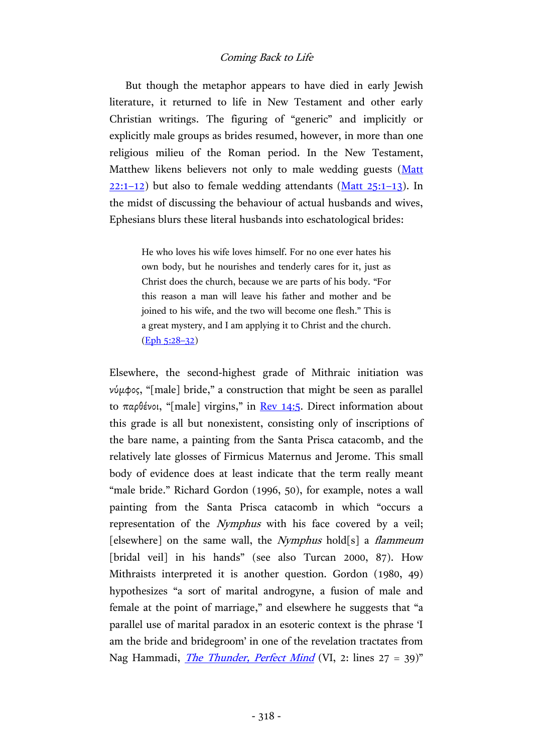But though the metaphor appears to have died in early Jewish literature, it returned to life in New Testament and other early Christian writings. The figuring of "generic" and implicitly or explicitly male groups as brides resumed, however, in more than one religious milieu of the Roman period. In the New Testament, Matthew likens believers not only to male wedding guests [\(Matt](http://www.academic-bible.com/bible-text/Matthew22.1-12/NA/)  $22:1-12$  $22:1-12$ ) but also to female wedding attendants [\(Matt](http://www.academic-bible.com/bible-text/Matthew25.1-13/NA/)  $25:1-13$ ). In the midst of discussing the behaviour of actual husbands and wives, Ephesians blurs these literal husbands into eschatological brides:

> He who loves his wife loves himself. For no one ever hates his own body, but he nourishes and tenderly cares for it, just as Christ does the church, because we are parts of his body. "For this reason a man will leave his father and mother and be joined to his wife, and the two will become one flesh." This is a great mystery, and I am applying it to Christ and the church. [\(Eph](http://www.academic-bible.com/bible-text/Ephesians5.28-32/NA/) 5:28–32)

Elsewhere, the second-highest grade of Mithraic initiation was νύμφος, "[male] bride," a construction that might be seen as parallel to παρθένοι, "[male] virgins," in Rev [14:5.](http://www.academic-bible.com/bible-text/Revelation14.5/NA/) Direct information about this grade is all but nonexistent, consisting only of inscriptions of the bare name, a painting from the Santa Prisca catacomb, and the relatively late glosses of Firmicus Maternus and Jerome. This small body of evidence does at least indicate that the term really meant "male bride." Richard Gordon (1996, 50), for example, notes a wall painting from the Santa Prisca catacomb in which "occurs a representation of the Nymphus with his face covered by a veil; [elsewhere] on the same wall, the *Nymphus* hold[s] a *flammeum* [bridal veil] in his hands" (see also Turcan 2000, 87). How Mithraists interpreted it is another question. Gordon (1980, 49) hypothesizes "a sort of marital androgyne, a fusion of male and female at the point of marriage," and elsewhere he suggests that "a parallel use of marital paradox in an esoteric context is the phrase 'I am the bride and bridegroom' in one of the revelation tractates from Nag Hammadi, *[The Thunder,](http://earlychristianwritings.com/text/thunder.html) Perfect Mind* (VI, 2: lines 27 = 39)"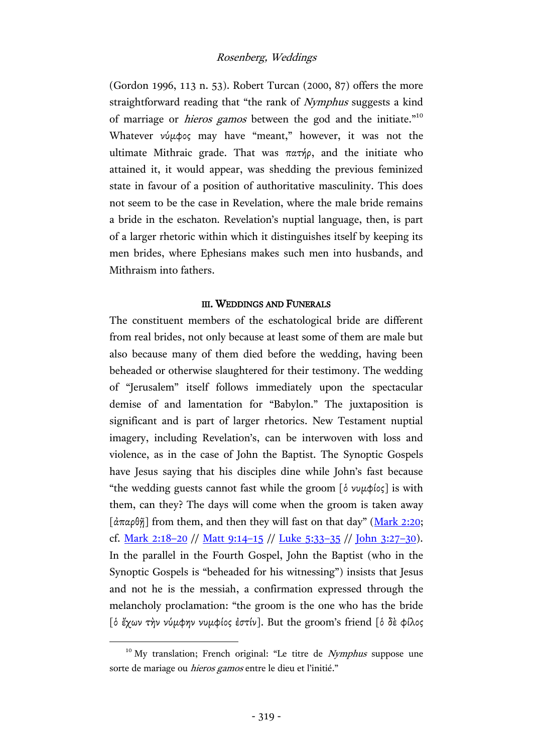(Gordon 1996, 113 n. 53). Robert Turcan (2000, 87) offers the more straightforward reading that "the rank of Nymphus suggests a kind of marriage or *hieros gamos* between the god and the initiate."<sup>10</sup> Whatever νύμφος may have "meant," however, it was not the ultimate Mithraic grade. That was πατήρ, and the initiate who attained it, it would appear, was shedding the previous feminized state in favour of a position of authoritative masculinity. This does not seem to be the case in Revelation, where the male bride remains a bride in the eschaton. Revelation's nuptial language, then, is part of a larger rhetoric within which it distinguishes itself by keeping its men brides, where Ephesians makes such men into husbands, and Mithraism into fathers.

#### III. WEDDINGS AND FUNERALS

The constituent members of the eschatological bride are different from real brides, not only because at least some of them are male but also because many of them died before the wedding, having been beheaded or otherwise slaughtered for their testimony. The wedding of "Jerusalem" itself follows immediately upon the spectacular demise of and lamentation for "Babylon." The juxtaposition is significant and is part of larger rhetorics. New Testament nuptial imagery, including Revelation's, can be interwoven with loss and violence, as in the case of John the Baptist. The Synoptic Gospels have Jesus saying that his disciples dine while John's fast because "the wedding guests cannot fast while the groom [ὁ νυμφίος] is with them, can they? The days will come when the groom is taken away [άπαρθῆ] from them, and then they will fast on that day" ([Mark](http://www.academic-bible.com/bible-text/Mark2.20/NA/) 2:20; cf. [Mark](http://www.academic-bible.com/bible-text/Mark2.18-20/NA/) 2:18–20 // [Matt](http://www.academic-bible.com/bible-text/Matthew9.14-15/NA/) 9:14–15 // [Luke](http://www.academic-bible.com/bible-text/Luke5.33-35/NA/) 5:33–35 // [John](http://www.academic-bible.com/bible-text/John3.27-30/NA/) 3:27–30). In the parallel in the Fourth Gospel, John the Baptist (who in the Synoptic Gospels is "beheaded for his witnessing") insists that Jesus and not he is the messiah, a confirmation expressed through the melancholy proclamation: "the groom is the one who has the bride [ὁ ἔχων τὴν νύμφην νυμφίος ἐστίν]. But the groom's friend [ὁ δὲ φίλος

 $10$  My translation; French original: "Le titre de *Nymphus* suppose une sorte de mariage ou *hieros gamos* entre le dieu et l'initié."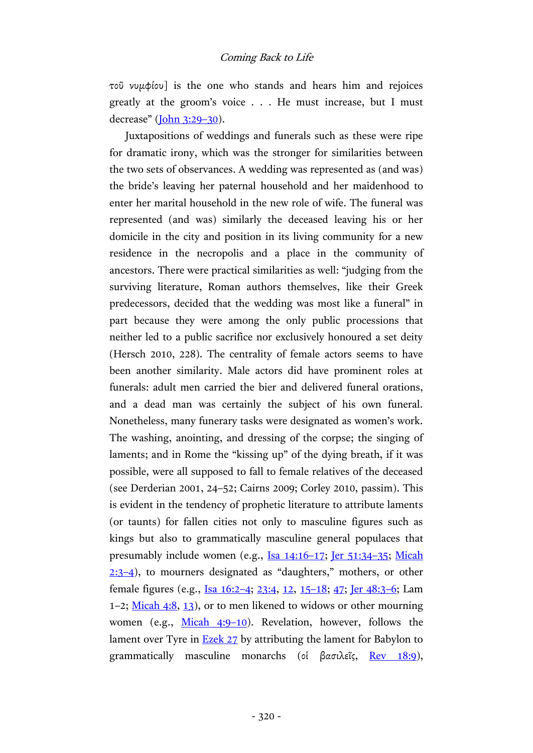τοῦ νυμφίου] is the one who stands and hears him and rejoices greatly at the groom's voice . . . He must increase, but I must decrease" [\(John](http://www.academic-bible.com/bible-text/John3.29-30/NA/) 3:29–30).

Juxtapositions of weddings and funerals such as these were ripe for dramatic irony, which was the stronger for similarities between the two sets of observances. A wedding was represented as (and was) the bride's leaving her paternal household and her maidenhood to enter her marital household in the new role of wife. The funeral was represented (and was) similarly the deceased leaving his or her domicile in the city and position in its living community for a new residence in the necropolis and a place in the community of ancestors. There were practical similarities as well: "judging from the surviving literature, Roman authors themselves, like their Greek predecessors, decided that the wedding was most like a funeral" in part because they were among the only public processions that neither led to a public sacrifice nor exclusively honoured a set deity (Hersch 2010, 228). The centrality of female actors seems to have been another similarity. Male actors did have prominent roles at funerals: adult men carried the bier and delivered funeral orations, and a dead man was certainly the subject of his own funeral. Nonetheless, many funerary tasks were designated as women's work. The washing, anointing, and dressing of the corpse; the singing of laments; and in Rome the "kissing up" of the dying breath, if it was possible, were all supposed to fall to female relatives of the deceased (see Derderian 2001, 24–52; Cairns 2009; Corley 2010, passim). This is evident in the tendency of prophetic literature to attribute laments (or taunts) for fallen cities not only to masculine figures such as kings but also to grammatically masculine general populaces that presumably include women (e.g., Isa [14:16](http://www.academic-bible.com/bible-text/Isaiah14/bhs/)–17; Jer [51:34](http://www.academic-bible.com/bible-text/Jeremiah51/bhs/)–35; [Micah](http://www.academic-bible.com/bible-text/Micah2/bhs/)  [2:3](http://www.academic-bible.com/bible-text/Micah2/bhs/)–4), to mourners designated as "daughters," mothers, or other female figures (e.g., Isa [16:2](http://www.academic-bible.com/bible-text/Isaiah16/bhs/)–4; [23:4, 12,](http://www.academic-bible.com/bible-text/Isaiah23/bhs/) 15–[18; 47;](http://www.academic-bible.com/bible-text/Isaiah23/bhs/) Jer [48:3](http://www.academic-bible.com/bible-text/Jeremiah48/bhs/)–6; Lam 1–2; [Micah 4:8, 13\)](http://www.academic-bible.com/bible-text/Micah4/bhs/), or to men likened to widows or other mourning women (e.g., [Micah 4:9](http://www.academic-bible.com/bible-text/Micah4/bhs/)–10). Revelation, however, follows the lament over Tyre in **Ezek 27** by attributing the lament for Babylon to grammatically masculine monarchs (οἱ βασιλεῖς, <u>Rev 18:9</u>),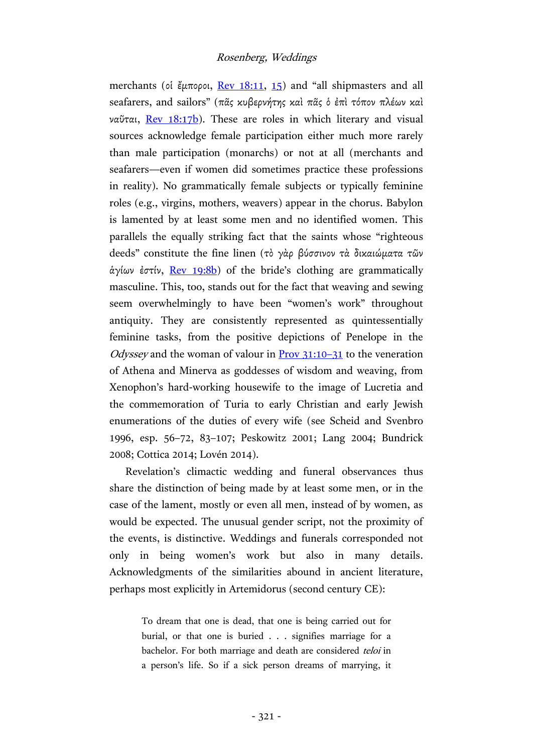merchants (οἱ ἔμποροι, Rev [18:11,](http://www.academic-bible.com/bible-text/Revelation18.11/NA/) [15\)](http://www.academic-bible.com/bible-text/Revelation18.15/NA/) and "all shipmasters and all seafarers, and sailors" (πᾶς κυβερνήτης καὶ πᾶς ὁ ἐπὶ τόπον πλέων καὶ ναῦται, Rev [18:17b\)](http://www.academic-bible.com/bible-text/Revelation18.17/NA/). These are roles in which literary and visual sources acknowledge female participation either much more rarely than male participation (monarchs) or not at all (merchants and seafarers—even if women did sometimes practice these professions in reality). No grammatically female subjects or typically feminine roles (e.g., virgins, mothers, weavers) appear in the chorus. Babylon is lamented by at least some men and no identified women. This parallels the equally striking fact that the saints whose "righteous deeds" constitute the fine linen (τὸ γὰρ βύσσινον τὰ δικαιώματα τῶν άγίων έστίν, Rev [19:8b\)](http://www.academic-bible.com/bible-text/Revelation19.8/NA/) of the bride's clothing are grammatically masculine. This, too, stands out for the fact that weaving and sewing seem overwhelmingly to have been "women's work" throughout antiquity. They are consistently represented as quintessentially feminine tasks, from the positive depictions of Penelope in the *Odyssey* and the woman of valour in  $\frac{Prov}{31:10-31}$  $\frac{Prov}{31:10-31}$  $\frac{Prov}{31:10-31}$  to the veneration of Athena and Minerva as goddesses of wisdom and weaving, from Xenophon's hard-working housewife to the image of Lucretia and the commemoration of Turia to early Christian and early Jewish enumerations of the duties of every wife (see Scheid and Svenbro 1996, esp. 56–72, 83–107; Peskowitz 2001; Lang 2004; Bundrick 2008; Cottica 2014; Lovén 2014).

Revelation's climactic wedding and funeral observances thus share the distinction of being made by at least some men, or in the case of the lament, mostly or even all men, instead of by women, as would be expected. The unusual gender script, not the proximity of the events, is distinctive. Weddings and funerals corresponded not only in being women's work but also in many details. Acknowledgments of the similarities abound in ancient literature, perhaps most explicitly in Artemidorus (second century CE):

> To dream that one is dead, that one is being carried out for burial, or that one is buried . . . signifies marriage for a bachelor. For both marriage and death are considered teloi in a person's life. So if a sick person dreams of marrying, it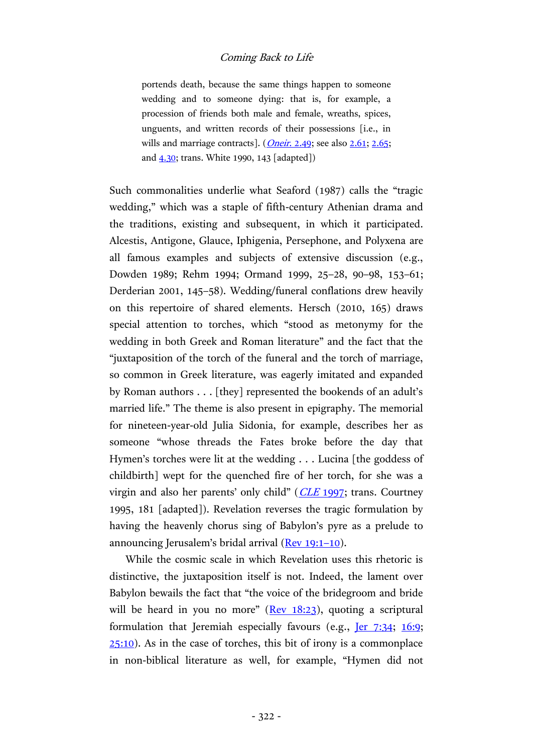portends death, because the same things happen to someone wedding and to someone dying: that is, for example, a procession of friends both male and female, wreaths, spices, unguents, and written records of their possessions [i.e., in wills and marriage contracts].  $(Oneir, 2.49; see also 2.61; 2.65;$  $(Oneir, 2.49; see also 2.61; 2.65;$  $(Oneir, 2.49; see also 2.61; 2.65;$ and [4.30;](http://hdl.handle.net/2027/hvd.hxjtu3?urlappend=%3Bseq=240) trans. White 1990, 143 [adapted])

Such commonalities underlie what Seaford (1987) calls the "tragic wedding," which was a staple of fifth-century Athenian drama and the traditions, existing and subsequent, in which it participated. Alcestis, Antigone, Glauce, Iphigenia, Persephone, and Polyxena are all famous examples and subjects of extensive discussion (e.g., Dowden 1989; Rehm 1994; Ormand 1999, 25–28, 90–98, 153–61; Derderian 2001, 145–58). Wedding/funeral conflations drew heavily on this repertoire of shared elements. Hersch (2010, 165) draws special attention to torches, which "stood as metonymy for the wedding in both Greek and Roman literature" and the fact that the "juxtaposition of the torch of the funeral and the torch of marriage, so common in Greek literature, was eagerly imitated and expanded by Roman authors . . . [they] represented the bookends of an adult's married life." The theme is also present in epigraphy. The memorial for nineteen-year-old Julia Sidonia, for example, describes her as someone "whose threads the Fates broke before the day that Hymen's torches were lit at the wedding . . . Lucina [the goddess of childbirth] wept for the quenched fire of her torch, for she was a virgin and also her parents' only child"  $(CLE 1997;$  $(CLE 1997;$  trans. Courtney 1995, 181 [adapted]). Revelation reverses the tragic formulation by having the heavenly chorus sing of Babylon's pyre as a prelude to announcing Jerusalem's bridal arrival [\(Rev](http://www.academic-bible.com/bible-text/Revelation19.1-10/NA/) 19:1–10).

While the cosmic scale in which Revelation uses this rhetoric is distinctive, the juxtaposition itself is not. Indeed, the lament over Babylon bewails the fact that "the voice of the bridegroom and bride will be heard in you no more"  $($ Rev [18:23\)](http://www.academic-bible.com/bible-text/Revelation18.23/NA/), quoting a scriptural formulation that Jeremiah especially favours (e.g., <u>Jer [7:34;](http://www.academic-bible.com/bible-text/Jeremiah7/bhs/) 16:9</u>;  $25:10$ ). As in the case of torches, this bit of irony is a commonplace in non-biblical literature as well, for example, "Hymen did not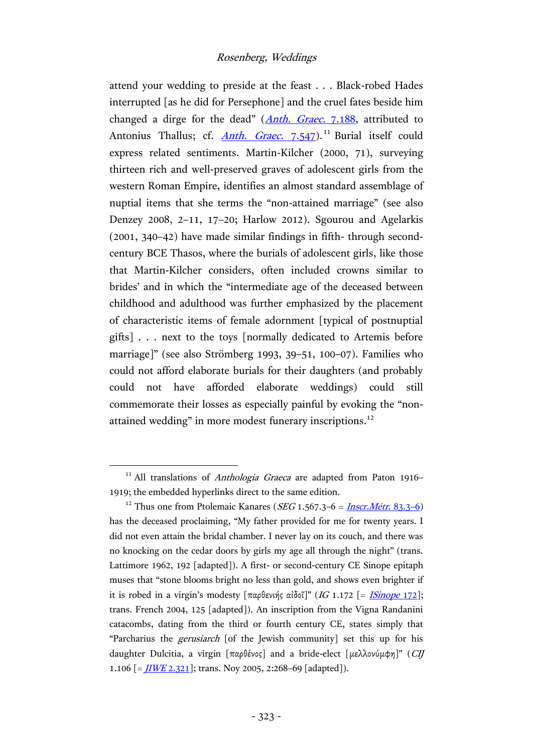attend your wedding to preside at the feast . . . Black-robed Hades interrupted [as he did for Persephone] and the cruel fates beside him changed a dirge for the dead" (*Anth. Graec.* [7.188,](https://archive.org/stream/greekanthology02newyuoft#page/106/mode/2up) attributed to Antonius Thallus; cf. *Anth. Graec.* [7.547\)](https://archive.org/stream/greekanthology02newyuoft#page/294/mode/2up).<sup>11</sup> Burial itself could express related sentiments. Martin-Kilcher (2000, 71), surveying thirteen rich and well-preserved graves of adolescent girls from the western Roman Empire, identifies an almost standard assemblage of nuptial items that she terms the "non-attained marriage" (see also Denzey 2008, 2–11, 17–20; Harlow 2012). Sgourou and Agelarkis (2001, 340–42) have made similar findings in fifth- through secondcentury BCE Thasos, where the burials of adolescent girls, like those that Martin-Kilcher considers, often included crowns similar to brides' and in which the "intermediate age of the deceased between childhood and adulthood was further emphasized by the placement of characteristic items of female adornment [typical of postnuptial gifts] . . . next to the toys [normally dedicated to Artemis before marriage]" (see also Strömberg 1993, 39–51, 100–07). Families who could not afford elaborate burials for their daughters (and probably could not have afforded elaborate weddings) could still commemorate their losses as especially painful by evoking the "nonattained wedding" in more modest funerary inscriptions.<sup>12</sup>

<sup>&</sup>lt;sup>11</sup> All translations of *Anthologia Graeca* are adapted from Paton 1916-1919; the embedded hyperlinks direct to the same edition.

<sup>&</sup>lt;sup>12</sup> Thus one from Ptolemaic Kanares (*SEG* 1.567.3–6 = <u>Inscr. Métr. 83.3–6</u>) has the deceased proclaiming, "My father provided for me for twenty years. I did not even attain the bridal chamber. I never lay on its couch, and there was no knocking on the cedar doors by girls my age all through the night" (trans. Lattimore 1962, 192 [adapted]). A first- or second-century CE Sinope epitaph muses that "stone blooms bright no less than gold, and shows even brighter if it is robed in a virgin's modesty  $[\pi \alpha \beta \epsilon \nu \omega \gamma \epsilon \alpha \delta \alpha \delta \nu \gamma \alpha \gamma \epsilon]$  (IG 1.172 [= [ISinope](http://epigraphy.packhum.org/text/312466) 172]; trans. French 2004, 125 [adapted]). An inscription from the Vigna Randanini catacombs, dating from the third or fourth century CE, states simply that "Parcharius the gerusiarch [of the Jewish community] set this up for his daughter Dulcitia, a virgin [παρθένος] and a bride-elect [μελλονύμφη]" (CIJ 1.106  $\left[ = \frac{I I W E 2.321}{I} \right]$ ; trans. Noy 2005, 2:268–69 [adapted]).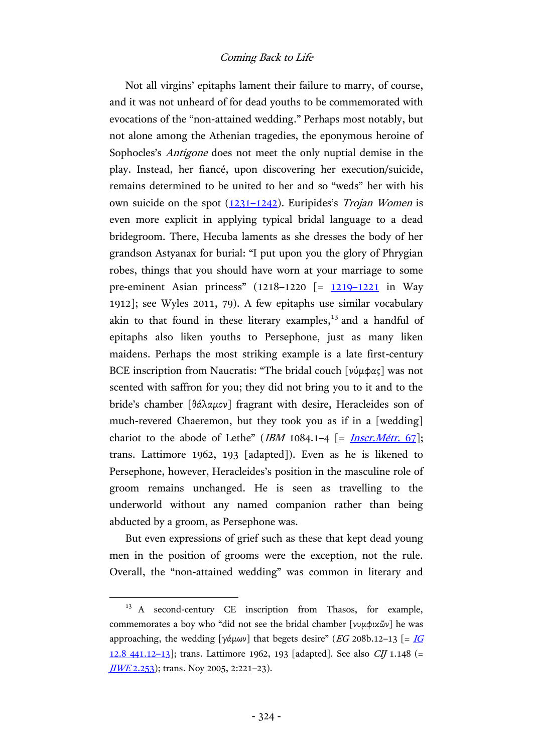Not all virgins' epitaphs lament their failure to marry, of course, and it was not unheard of for dead youths to be commemorated with evocations of the "non-attained wedding." Perhaps most notably, but not alone among the Athenian tragedies, the eponymous heroine of Sophocles's Antigone does not meet the only nuptial demise in the play. Instead, her fiancé, upon discovering her execution/suicide, remains determined to be united to her and so "weds" her with his own suicide on the spot  $(1231-1242)$  $(1231-1242)$ . Euripides's *Trojan Women* is even more explicit in applying typical bridal language to a dead bridegroom. There, Hecuba laments as she dresses the body of her grandson Astyanax for burial: "I put upon you the glory of Phrygian robes, things that you should have worn at your marriage to some pre-eminent Asian princess" (1218–1220 [= [1219](https://archive.org/stream/euripidesway01euriuoft#page/448/mode/2up)–1221 in Way 1912]; see Wyles 2011, 79). A few epitaphs use similar vocabulary akin to that found in these literary examples, $^{13}$  and a handful of epitaphs also liken youths to Persephone, just as many liken maidens. Perhaps the most striking example is a late first-century BCE inscription from Naucratis: "The bridal couch [νύμφας] was not scented with saffron for you; they did not bring you to it and to the bride's chamber [θάλαμον] fragrant with desire, Heracleides son of much-revered Chaeremon, but they took you as if in a [wedding] chariot to the abode of Lethe" (IBM 1084.1–4  $\lceil = \frac{Inscr.Metr. 67\rceil; }{=}$ trans. Lattimore 1962, 193 [adapted]). Even as he is likened to Persephone, however, Heracleides's position in the masculine role of groom remains unchanged. He is seen as travelling to the underworld without any named companion rather than being abducted by a groom, as Persephone was.

But even expressions of grief such as these that kept dead young men in the position of grooms were the exception, not the rule. Overall, the "non-attained wedding" was common in literary and

<sup>&</sup>lt;sup>13</sup> A second-century CE inscription from Thasos, for example, commemorates a boy who "did not see the bridal chamber [νυμφικῶν] he was approaching, the wedding [γάμων] that begets desire" (EG 208b.12-13 [=  $\underline{IG}$  $\underline{IG}$  $\underline{IG}$ [12.8 441.12](http://epigraphy.packhum.org/text/79634)-13]; trans. Lattimore 1962, 193 [adapted]. See also *CIJ* 1.148 (=  $JIVE 2.253$ ); trans. Noy 2005, 2:221-23).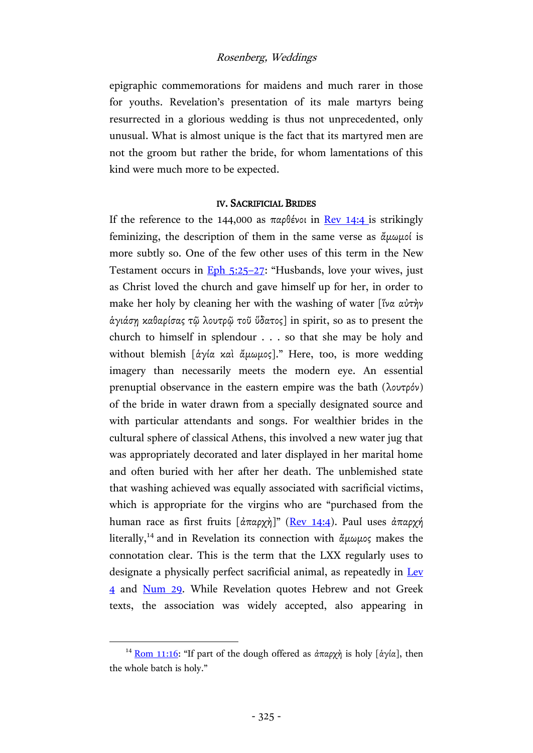epigraphic commemorations for maidens and much rarer in those for youths. Revelation's presentation of its male martyrs being resurrected in a glorious wedding is thus not unprecedented, only unusual. What is almost unique is the fact that its martyred men are not the groom but rather the bride, for whom lamentations of this kind were much more to be expected.

#### IV. SACRIFICIAL BRIDES

If the reference to the 144,000 as  $\pi \alpha \theta$  is  $\alpha$  and  $\alpha$  [14:4](http://www.academic-bible.com/bible-text/Revelation14.4/NA/) is strikingly feminizing, the description of them in the same verse as ἄμωμοί is more subtly so. One of the few other uses of this term in the New Testament occurs in [Eph](http://www.academic-bible.com/bible-text/Ephesians5.25-27/NA/) 5:25–27: "Husbands, love your wives, just as Christ loved the church and gave himself up for her, in order to make her holy by cleaning her with the washing of water [ἵνα αὐτὴν ἁγιάσῃ καθαρίσας τῷ λουτρῷ τοῦ ὕδατος] in spirit, so as to present the church to himself in splendour . . . so that she may be holy and without blemish [άγία καὶ ἄμωμος]." Here, too, is more wedding imagery than necessarily meets the modern eye. An essential prenuptial observance in the eastern empire was the bath (λουτρόν) of the bride in water drawn from a specially designated source and with particular attendants and songs. For wealthier brides in the cultural sphere of classical Athens, this involved a new water jug that was appropriately decorated and later displayed in her marital home and often buried with her after her death. The unblemished state that washing achieved was equally associated with sacrificial victims, which is appropriate for the virgins who are "purchased from the human race as first fruits [ἀπαρχή]" (Rev [14:4\)](http://www.academic-bible.com/bible-text/Revelation14.4/NA/). Paul uses ἀπαρχή literally,<sup>14</sup> and in Revelation its connection with άμωμος makes the connotation clear. This is the term that the LXX regularly uses to designate a physically perfect sacrificial animal, as repeatedly in [Lev](http://www.academic-bible.com/bible-text/Leviticus4/LXX/) [4](http://www.academic-bible.com/bible-text/Leviticus4/LXX/) and [Num](http://www.academic-bible.com/bible-text/Numbers29/LXX/) 29. While Revelation quotes Hebrew and not Greek texts, the association was widely accepted, also appearing in

<sup>&</sup>lt;sup>14</sup> [Rom 11:16:](http://www.academic-bible.com/bible-text/Romans11.16/NA/) "If part of the dough offered as ἀπαρχὴ is holy [ἀγία], then the whole batch is holy."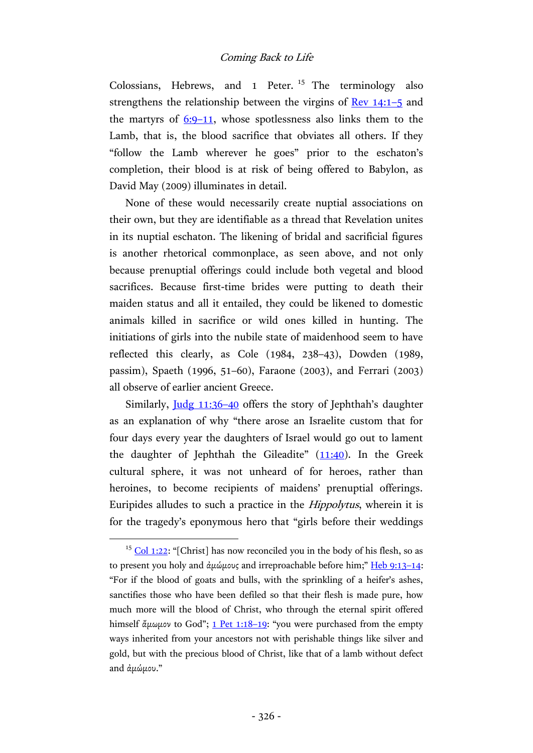Colossians, Hebrews, and 1 Peter.<sup>15</sup> The terminology also strengthens the relationship between the virgins of Rev [14:1](http://www.academic-bible.com/bible-text/Revelation14.1-5/NA/)–5 and the martyrs of  $6:9-11$  $6:9-11$ , whose spotlessness also links them to the Lamb, that is, the blood sacrifice that obviates all others. If they "follow the Lamb wherever he goes" prior to the eschaton's completion, their blood is at risk of being offered to Babylon, as David May (2009) illuminates in detail.

None of these would necessarily create nuptial associations on their own, but they are identifiable as a thread that Revelation unites in its nuptial eschaton. The likening of bridal and sacrificial figures is another rhetorical commonplace, as seen above, and not only because prenuptial offerings could include both vegetal and blood sacrifices. Because first-time brides were putting to death their maiden status and all it entailed, they could be likened to domestic animals killed in sacrifice or wild ones killed in hunting. The initiations of girls into the nubile state of maidenhood seem to have reflected this clearly, as Cole (1984, 238–43), Dowden (1989, passim), Spaeth (1996, 51–60), Faraone (2003), and Ferrari (2003) all observe of earlier ancient Greece.

Similarly, Judg [11:36](http://www.academic-bible.com/bible-text/Judges11/bhs/)–40 offers the story of Jephthah's daughter as an explanation of why "there arose an Israelite custom that for four days every year the daughters of Israel would go out to lament the daughter of Jephthah the Gileadite"  $(11:40)$ . In the Greek cultural sphere, it was not unheard of for heroes, rather than heroines, to become recipients of maidens' prenuptial offerings. Euripides alludes to such a practice in the Hippolytus, wherein it is for the tragedy's eponymous hero that "girls before their weddings

 $15$  [Col 1:22:](http://www.academic-bible.com/bible-text/Colossians1.22/NA/) "[Christ] has now reconciled you in the body of his flesh, so as to present you holy and ἀμώμους and irreproachable before him;" [Heb 9:13](http://www.academic-bible.com/bible-text/Hebrews9.13-14/NA/)-14: "For if the blood of goats and bulls, with the sprinkling of a heifer's ashes, sanctifies those who have been defiled so that their flesh is made pure, how much more will the blood of Christ, who through the eternal spirit offered himself ἄμωμον to God"; [1 Pet 1:18](http://www.academic-bible.com/bible-text/1Peter1.18-19/NA/)–19: "you were purchased from the empty ways inherited from your ancestors not with perishable things like silver and gold, but with the precious blood of Christ, like that of a lamb without defect and ἀμώμου."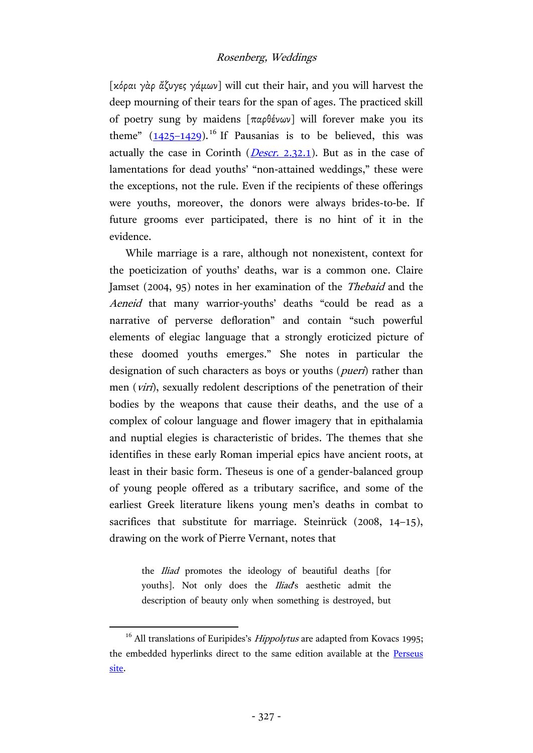[κόραι γὰρ ἄζυγες γάμων] will cut their hair, and you will harvest the deep mourning of their tears for the span of ages. The practiced skill of poetry sung by maidens [παρθένων] will forever make you its theme"  $(1425-1429)$  $(1425-1429)$ .<sup>16</sup> If Pausanias is to be believed, this was actually the case in Corinth (*Descr.* [2.32.1\)](http://hdl.handle.net/2027/uc1.c072987702?urlappend=%3Bseq=456). But as in the case of lamentations for dead youths' "non-attained weddings," these were the exceptions, not the rule. Even if the recipients of these offerings were youths, moreover, the donors were always brides-to-be. If future grooms ever participated, there is no hint of it in the evidence.

While marriage is a rare, although not nonexistent, context for the poeticization of youths' deaths, war is a common one. Claire Jamset (2004, 95) notes in her examination of the Thebaid and the Aeneid that many warrior-youths' deaths "could be read as a narrative of perverse defloration" and contain "such powerful elements of elegiac language that a strongly eroticized picture of these doomed youths emerges." She notes in particular the designation of such characters as boys or youths (*pueri*) rather than men (*viri*), sexually redolent descriptions of the penetration of their bodies by the weapons that cause their deaths, and the use of a complex of colour language and flower imagery that in epithalamia and nuptial elegies is characteristic of brides. The themes that she identifies in these early Roman imperial epics have ancient roots, at least in their basic form. Theseus is one of a gender-balanced group of young people offered as a tributary sacrifice, and some of the earliest Greek literature likens young men's deaths in combat to sacrifices that substitute for marriage. Steinrück (2008, 14-15), drawing on the work of Pierre Vernant, notes that

> the *Iliad* promotes the ideology of beautiful deaths [for youths]. Not only does the *Iliad's* aesthetic admit the description of beauty only when something is destroyed, but

 $16$  All translations of Euripides's *Hippolytus* are adapted from Kovacs 1995; the embedded hyperlinks direct to the same edition available at the Perseus [site.](http://data.perseus.org/texts/urn:cts:greekLit:tlg0006.tlg005)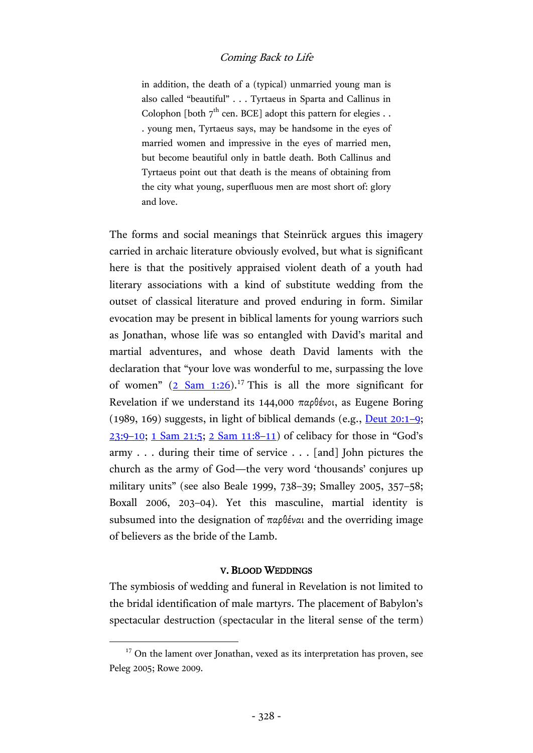in addition, the death of a (typical) unmarried young man is also called "beautiful" . . . Tyrtaeus in Sparta and Callinus in Colophon [both  $7<sup>th</sup>$  cen. BCE] adopt this pattern for elegies . . . young men, Tyrtaeus says, may be handsome in the eyes of married women and impressive in the eyes of married men, but become beautiful only in battle death. Both Callinus and Tyrtaeus point out that death is the means of obtaining from the city what young, superfluous men are most short of: glory and love.

The forms and social meanings that Steinrück argues this imagery carried in archaic literature obviously evolved, but what is significant here is that the positively appraised violent death of a youth had literary associations with a kind of substitute wedding from the outset of classical literature and proved enduring in form. Similar evocation may be present in biblical laments for young warriors such as Jonathan, whose life was so entangled with David's marital and martial adventures, and whose death David laments with the declaration that "your love was wonderful to me, surpassing the love of women"  $(2 \text{ Sam } 1:26)$ .<sup>17</sup> This is all the more significant for Revelation if we understand its 144,000 παρθένοι, as Eugene Boring (1989, 169) suggests, in light of biblical demands (e.g., [Deut](http://www.academic-bible.com/bible-text/Deuteronomy20/bhs/) 20:1–9; [23:9](http://www.academic-bible.com/bible-text/Deuteronomy23/bhs/)–10; [1 Sam](http://www.academic-bible.com/bible-text/1Samuel21/bhs/) 21:5; [2 Sam](http://www.academic-bible.com/bible-text/2Samuel11/bhs/) 11:8–11) of celibacy for those in "God's army . . . during their time of service . . . [and] John pictures the church as the army of God—the very word 'thousands' conjures up military units" (see also Beale 1999, 738–39; Smalley 2005, 357–58; Boxall 2006, 203–04). Yet this masculine, martial identity is subsumed into the designation of παρθέναι and the overriding image of believers as the bride of the Lamb.

#### V. BLOOD WEDDINGS

The symbiosis of wedding and funeral in Revelation is not limited to the bridal identification of male martyrs. The placement of Babylon's spectacular destruction (spectacular in the literal sense of the term)

 $17$  On the lament over Jonathan, vexed as its interpretation has proven, see Peleg 2005; Rowe 2009.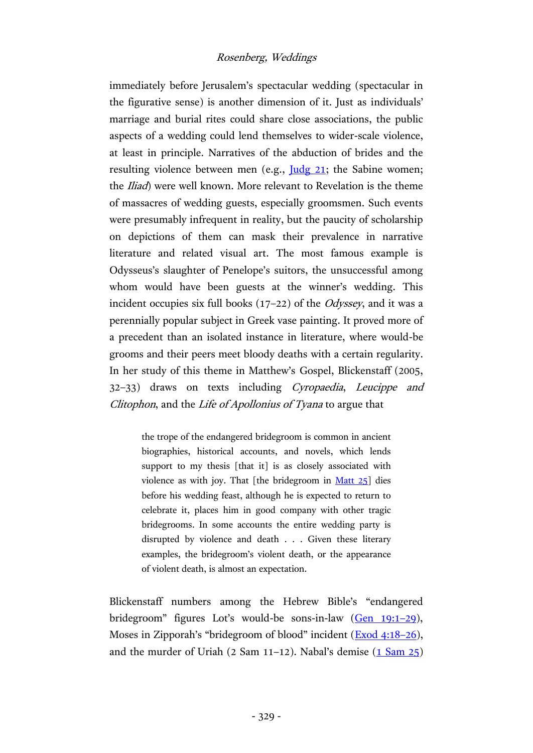immediately before Jerusalem's spectacular wedding (spectacular in the figurative sense) is another dimension of it. Just as individuals' marriage and burial rites could share close associations, the public aspects of a wedding could lend themselves to wider-scale violence, at least in principle. Narratives of the abduction of brides and the resulting violence between men (e.g., <u>[Judg](http://www.academic-bible.com/bible-text/Judges21/bhs/) 21</u>; the Sabine women; the *Iliad*) were well known. More relevant to Revelation is the theme of massacres of wedding guests, especially groomsmen. Such events were presumably infrequent in reality, but the paucity of scholarship on depictions of them can mask their prevalence in narrative literature and related visual art. The most famous example is Odysseus's slaughter of Penelope's suitors, the unsuccessful among whom would have been guests at the winner's wedding. This incident occupies six full books (17–22) of the Odyssey, and it was a perennially popular subject in Greek vase painting. It proved more of a precedent than an isolated instance in literature, where would-be grooms and their peers meet bloody deaths with a certain regularity. In her study of this theme in Matthew's Gospel, Blickenstaff (2005, 32–33) draws on texts including Cyropaedia, Leucippe and Clitophon, and the Life of Apollonius of Tyana to argue that

> the trope of the endangered bridegroom is common in ancient biographies, historical accounts, and novels, which lends support to my thesis [that it] is as closely associated with violence as with joy. That [the bridegroom in  $Matt 25$ ] dies before his wedding feast, although he is expected to return to celebrate it, places him in good company with other tragic bridegrooms. In some accounts the entire wedding party is disrupted by violence and death . . . Given these literary examples, the bridegroom's violent death, or the appearance of violent death, is almost an expectation.

Blickenstaff numbers among the Hebrew Bible's "endangered bridegroom" figures Lot's would-be sons-in-law [\(Gen](http://www.academic-bible.com/bible-text/Genesis19/bhs/) 19:1–29), Moses in Zipporah's "bridegroom of blood" incident ([Exod](http://www.academic-bible.com/bible-text/Exodus4/bhs/) 4:18–26), and the murder of Uriah  $(2 \text{ Sam } 11-12)$ . Nabal's demise  $(1 \text{ Sam } 25)$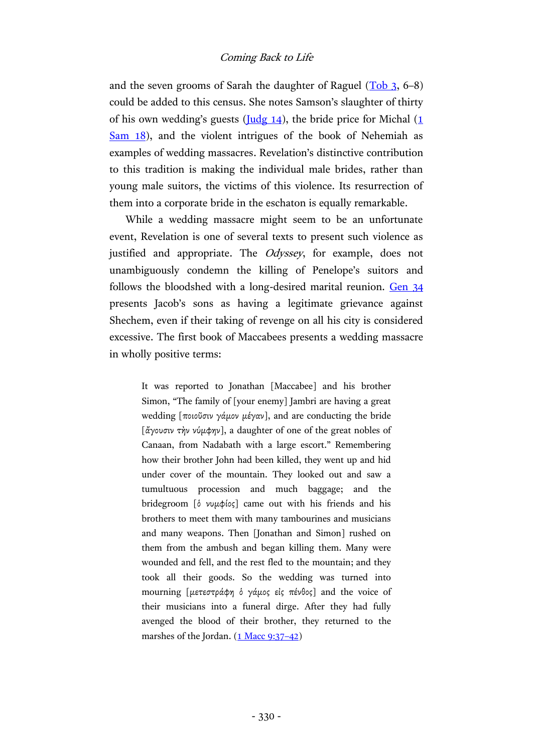and the seven grooms of Sarah the daughter of Raguel  $(Tob_3, 6-8)$  $(Tob_3, 6-8)$ could be added to this census. She notes Samson's slaughter of thirty of his own wedding's guests ( $\frac{I \cdot I}{I}$ ), the bride price for Michal (1 [Sam](http://www.academic-bible.com/bible-text/1Samuel18/bhs/) 18), and the violent intrigues of the book of Nehemiah as examples of wedding massacres. Revelation's distinctive contribution to this tradition is making the individual male brides, rather than young male suitors, the victims of this violence. Its resurrection of them into a corporate bride in the eschaton is equally remarkable.

While a wedding massacre might seem to be an unfortunate event, Revelation is one of several texts to present such violence as justified and appropriate. The *Odyssey*, for example, does not unambiguously condemn the killing of Penelope's suitors and follows the bloodshed with a long-desired marital reunion. [Gen](http://www.academic-bible.com/bible-text/Genesis34/bhs/) 34 presents Jacob's sons as having a legitimate grievance against Shechem, even if their taking of revenge on all his city is considered excessive. The first book of Maccabees presents a wedding massacre in wholly positive terms:

> It was reported to Jonathan [Maccabee] and his brother Simon, "The family of [your enemy] Jambri are having a great wedding [ποιοῦσιν γάμον μέγαν], and are conducting the bride [ἄγουσιν τὴν νύμφην], a daughter of one of the great nobles of Canaan, from Nadabath with a large escort." Remembering how their brother John had been killed, they went up and hid under cover of the mountain. They looked out and saw a tumultuous procession and much baggage; and the bridegroom [ὁ νυμφίος] came out with his friends and his brothers to meet them with many tambourines and musicians and many weapons. Then [Jonathan and Simon] rushed on them from the ambush and began killing them. Many were wounded and fell, and the rest fled to the mountain; and they took all their goods. So the wedding was turned into mourning [μετεστράφη ὁ γάμος εἰς πένθος] and the voice of their musicians into a funeral dirge. After they had fully avenged the blood of their brother, they returned to the marshes of the Jordan.  $(1$  Macc 9:37-42)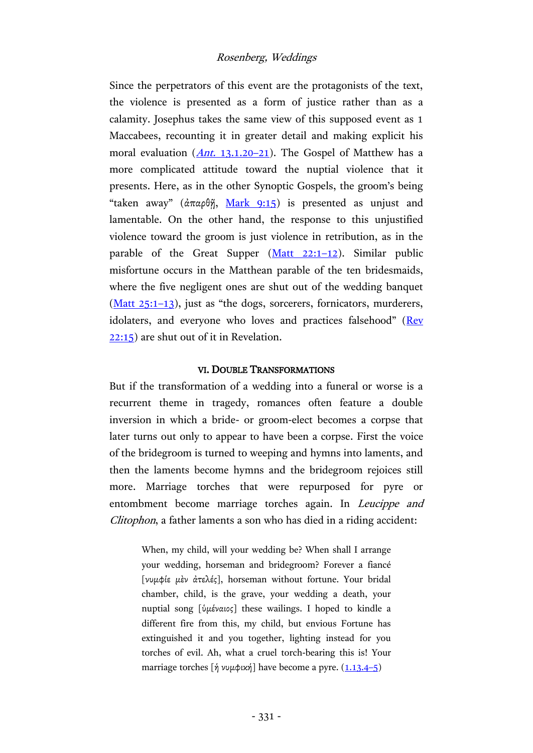Since the perpetrators of this event are the protagonists of the text, the violence is presented as a form of justice rather than as a calamity. Josephus takes the same view of this supposed event as 1 Maccabees, recounting it in greater detail and making explicit his moral evaluation  $(Ant. 13.1.20-21)$  $(Ant. 13.1.20-21)$  $(Ant. 13.1.20-21)$ . The Gospel of Matthew has a more complicated attitude toward the nuptial violence that it presents. Here, as in the other Synoptic Gospels, the groom's being "taken away" (ἀπαρθῆ, [Mark](http://www.academic-bible.com/bible-text/Mark9.15/NA/) 9:15) is presented as unjust and lamentable. On the other hand, the response to this unjustified violence toward the groom is just violence in retribution, as in the parable of the Great Supper  $(Matt 22:1-12)$  $(Matt 22:1-12)$ . Similar public misfortune occurs in the Matthean parable of the ten bridesmaids, where the five negligent ones are shut out of the wedding banquet [\(Matt](http://www.academic-bible.com/bible-text/Matthew25.1-13/NA/) 25:1–13), just as "the dogs, sorcerers, fornicators, murderers, idolaters, and everyone who loves and practices falsehood" ([Rev](http://www.academic-bible.com/bible-text/Revelation22.15/NA/) [22:15\)](http://www.academic-bible.com/bible-text/Revelation22.15/NA/) are shut out of it in Revelation.

#### VI. DOUBLE TRANSFORMATIONS

But if the transformation of a wedding into a funeral or worse is a recurrent theme in tragedy, romances often feature a double inversion in which a bride- or groom-elect becomes a corpse that later turns out only to appear to have been a corpse. First the voice of the bridegroom is turned to weeping and hymns into laments, and then the laments become hymns and the bridegroom rejoices still more. Marriage torches that were repurposed for pyre or entombment become marriage torches again. In Leucippe and Clitophon, a father laments a son who has died in a riding accident:

> When, my child, will your wedding be? When shall I arrange your wedding, horseman and bridegroom? Forever a fiancé [νυμφίε μὲν ἀτελές], horseman without fortune. Your bridal chamber, child, is the grave, your wedding a death, your nuptial song [ὑμέναιος] these wailings. I hoped to kindle a different fire from this, my child, but envious Fortune has extinguished it and you together, lighting instead for you torches of evil. Ah, what a cruel torch-bearing this is! Your marriage torches  $[\hat{\eta} \nu \psi \psi \psi \psi]$  have become a pyre.  $(1.13.4-5)$  $(1.13.4-5)$  $(1.13.4-5)$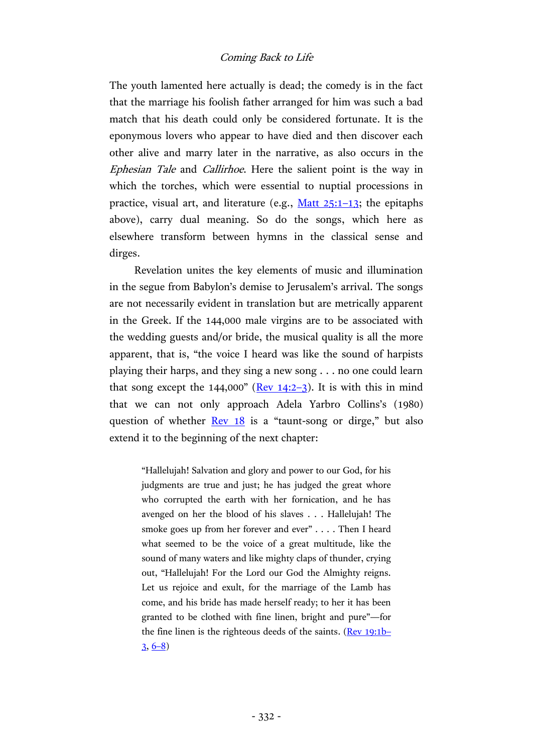The youth lamented here actually is dead; the comedy is in the fact that the marriage his foolish father arranged for him was such a bad match that his death could only be considered fortunate. It is the eponymous lovers who appear to have died and then discover each other alive and marry later in the narrative, as also occurs in the Ephesian Tale and Callirhoe. Here the salient point is the way in which the torches, which were essential to nuptial processions in practice, visual art, and literature (e.g.,  $M$ att  $25:1-13$ ; the epitaphs above), carry dual meaning. So do the songs, which here as elsewhere transform between hymns in the classical sense and dirges.

Revelation unites the key elements of music and illumination in the segue from Babylon's demise to Jerusalem's arrival. The songs are not necessarily evident in translation but are metrically apparent in the Greek. If the 144,000 male virgins are to be associated with the wedding guests and/or bride, the musical quality is all the more apparent, that is, "the voice I heard was like the sound of harpists playing their harps, and they sing a new song . . . no one could learn that song except the  $144,000$ " (Rev  $14:2-3$  $14:2-3$ ). It is with this in mind that we can not only approach Adela Yarbro Collins's (1980) question of whether [Rev](http://www.academic-bible.com/bible-text/Revelation18/NA/) 18 is a "taunt-song or dirge," but also extend it to the beginning of the next chapter:

> "Hallelujah! Salvation and glory and power to our God, for his judgments are true and just; he has judged the great whore who corrupted the earth with her fornication, and he has avenged on her the blood of his slaves . . . Hallelujah! The smoke goes up from her forever and ever" . . . . Then I heard what seemed to be the voice of a great multitude, like the sound of many waters and like mighty claps of thunder, crying out, "Hallelujah! For the Lord our God the Almighty reigns. Let us rejoice and exult, for the marriage of the Lamb has come, and his bride has made herself ready; to her it has been granted to be clothed with fine linen, bright and pure"—for the fine linen is the righteous deeds of the saints. (Rev [19:1b](http://www.academic-bible.com/bible-text/Revelation19.1-3/NA/)–  $3, 6-8)$  $3, 6-8)$  $3, 6-8)$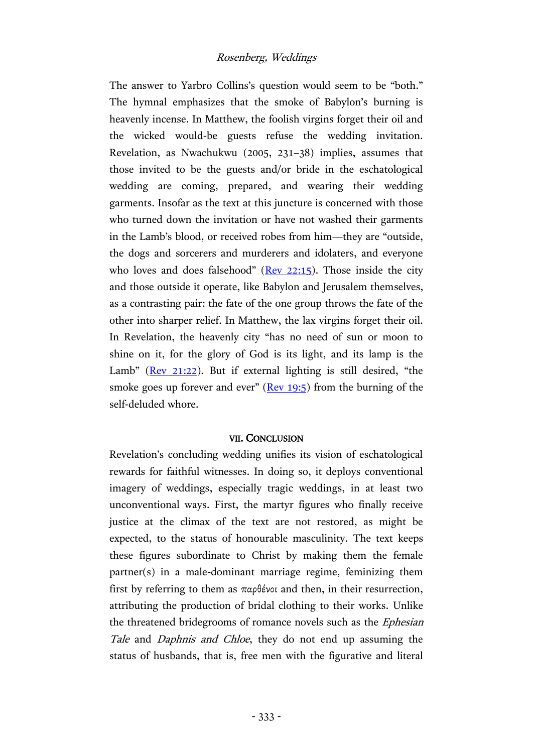The answer to Yarbro Collins's question would seem to be "both." The hymnal emphasizes that the smoke of Babylon's burning is heavenly incense. In Matthew, the foolish virgins forget their oil and the wicked would-be guests refuse the wedding invitation. Revelation, as Nwachukwu (2005, 231–38) implies, assumes that those invited to be the guests and/or bride in the eschatological wedding are coming, prepared, and wearing their wedding garments. Insofar as the text at this juncture is concerned with those who turned down the invitation or have not washed their garments in the Lamb's blood, or received robes from him—they are "outside, the dogs and sorcerers and murderers and idolaters, and everyone who loves and does falsehood" ( $\text{Rev } 22:15$ ). Those inside the city and those outside it operate, like Babylon and Jerusalem themselves, as a contrasting pair: the fate of the one group throws the fate of the other into sharper relief. In Matthew, the lax virgins forget their oil. In Revelation, the heavenly city "has no need of sun or moon to shine on it, for the glory of God is its light, and its lamp is the Lamb" ( $\text{Rev } 21:22$  $\text{Rev } 21:22$ ). But if external lighting is still desired, "the smoke goes up forever and ever"  $($ Rev [19:5\)](http://www.academic-bible.com/bible-text/Revelation19.5/NA/) from the burning of the self-deluded whore.

## VII. CONCLUSION

Revelation's concluding wedding unifies its vision of eschatological rewards for faithful witnesses. In doing so, it deploys conventional imagery of weddings, especially tragic weddings, in at least two unconventional ways. First, the martyr figures who finally receive justice at the climax of the text are not restored, as might be expected, to the status of honourable masculinity. The text keeps these figures subordinate to Christ by making them the female partner(s) in a male-dominant marriage regime, feminizing them first by referring to them as  $\pi \alpha \beta$  devot and then, in their resurrection, attributing the production of bridal clothing to their works. Unlike the threatened bridegrooms of romance novels such as the Ephesian Tale and Daphnis and Chloe, they do not end up assuming the status of husbands, that is, free men with the figurative and literal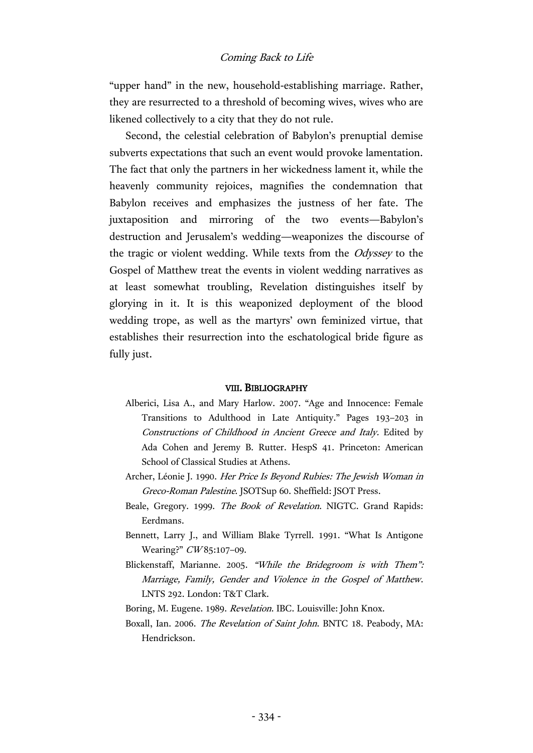"upper hand" in the new, household-establishing marriage. Rather, they are resurrected to a threshold of becoming wives, wives who are likened collectively to a city that they do not rule.

Second, the celestial celebration of Babylon's prenuptial demise subverts expectations that such an event would provoke lamentation. The fact that only the partners in her wickedness lament it, while the heavenly community rejoices, magnifies the condemnation that Babylon receives and emphasizes the justness of her fate. The juxtaposition and mirroring of the two events—Babylon's destruction and Jerusalem's wedding—weaponizes the discourse of the tragic or violent wedding. While texts from the Odyssey to the Gospel of Matthew treat the events in violent wedding narratives as at least somewhat troubling, Revelation distinguishes itself by glorying in it. It is this weaponized deployment of the blood wedding trope, as well as the martyrs' own feminized virtue, that establishes their resurrection into the eschatological bride figure as fully just.

#### VIII. BIBLIOGRAPHY

- Alberici, Lisa A., and Mary Harlow. 2007. "Age and Innocence: Female Transitions to Adulthood in Late Antiquity." Pages 193–203 in Constructions of Childhood in Ancient Greece and Italy. Edited by Ada Cohen and Jeremy B. Rutter. HespS 41. Princeton: American School of Classical Studies at Athens.
- Archer, Léonie J. 1990. Her Price Is Beyond Rubies: The Jewish Woman in Greco-Roman Palestine. JSOTSup 60. Sheffield: JSOT Press.
- Beale, Gregory. 1999. The Book of Revelation. NIGTC. Grand Rapids: Eerdmans.
- Bennett, Larry J., and William Blake Tyrrell. 1991. "What Is Antigone Wearing?" CW85:107-09.
- Blickenstaff, Marianne. 2005. "While the Bridegroom is with Them": Marriage, Family, Gender and Violence in the Gospel of Matthew. LNTS 292. London: T&T Clark.
- Boring, M. Eugene. 1989. Revelation. IBC. Louisville: John Knox.
- Boxall, Ian. 2006. The Revelation of Saint John. BNTC 18. Peabody, MA: Hendrickson.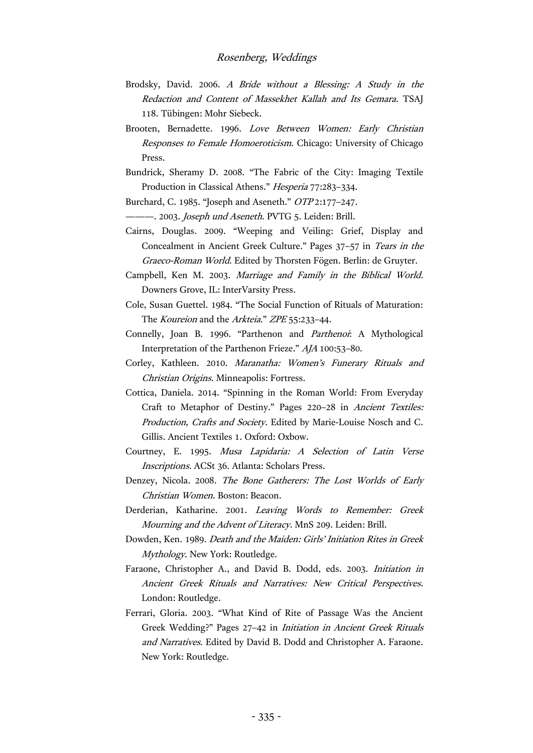- Brodsky, David. 2006. A Bride without a Blessing: A Study in the Redaction and Content of Massekhet Kallah and Its Gemara. TSAJ 118. Tübingen: Mohr Siebeck.
- Brooten, Bernadette. 1996. Love Between Women: Early Christian Responses to Female Homoeroticism. Chicago: University of Chicago Press.
- Bundrick, Sheramy D. 2008. "The Fabric of the City: Imaging Textile Production in Classical Athens." Hesperia 77:283–334.
- Burchard, C. 1985. "Joseph and Aseneth." OTP 2:177–247.

--. 2003. Joseph und Aseneth. PVTG 5. Leiden: Brill.

- Cairns, Douglas. 2009. "Weeping and Veiling: Grief, Display and Concealment in Ancient Greek Culture." Pages 37–57 in Tears in the Graeco-Roman World. Edited by Thorsten Fögen. Berlin: de Gruyter.
- Campbell, Ken M. 2003. Marriage and Family in the Biblical World. Downers Grove, IL: InterVarsity Press.
- Cole, Susan Guettel. 1984. "The Social Function of Rituals of Maturation: The *Koureion* and the *Arkteia.*" *ZPE* 55:233-44.
- Connelly, Joan B. 1996. "Parthenon and Parthenoi: A Mythological Interpretation of the Parthenon Frieze." AJA 100:53–80.
- Corley, Kathleen. 2010. Maranatha: Women's Funerary Rituals and Christian Origins. Minneapolis: Fortress.
- Cottica, Daniela. 2014. "Spinning in the Roman World: From Everyday Craft to Metaphor of Destiny." Pages 220–28 in Ancient Textiles: Production, Crafts and Society. Edited by Marie-Louise Nosch and C. Gillis. Ancient Textiles 1. Oxford: Oxbow.
- Courtney, E. 1995. Musa Lapidaria: A Selection of Latin Verse Inscriptions. ACSt 36. Atlanta: Scholars Press.
- Denzey, Nicola. 2008. The Bone Gatherers: The Lost Worlds of Early Christian Women. Boston: Beacon.
- Derderian, Katharine. 2001. Leaving Words to Remember: Greek Mourning and the Advent of Literacy. MnS 209. Leiden: Brill.
- Dowden, Ken. 1989. Death and the Maiden: Girls' Initiation Rites in Greek Mythology. New York: Routledge.
- Faraone, Christopher A., and David B. Dodd, eds. 2003. Initiation in Ancient Greek Rituals and Narratives: New Critical Perspectives. London: Routledge.
- Ferrari, Gloria. 2003. "What Kind of Rite of Passage Was the Ancient Greek Wedding?" Pages 27–42 in Initiation in Ancient Greek Rituals and Narratives. Edited by David B. Dodd and Christopher A. Faraone. New York: Routledge.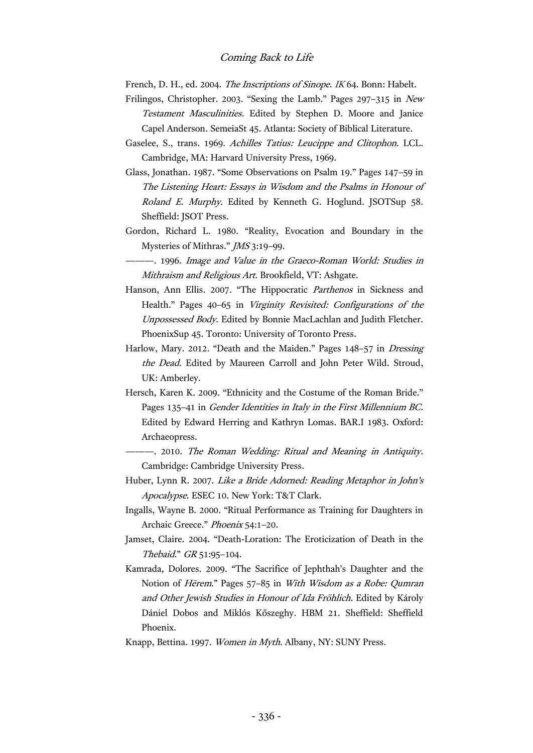French, D. H., ed. 2004. The Inscriptions of Sinope. IK 64. Bonn: Habelt.

- Frilingos, Christopher. 2003. "Sexing the Lamb." Pages 297–315 in New Testament Masculinities. Edited by Stephen D. Moore and Janice Capel Anderson. SemeiaSt 45. Atlanta: Society of Biblical Literature.
- Gaselee, S., trans. 1969. Achilles Tatius: Leucippe and Clitophon. LCL. Cambridge, MA: Harvard University Press, 1969.
- Glass, Jonathan. 1987. "Some Observations on Psalm 19." Pages 147–59 in The Listening Heart: Essays in Wisdom and the Psalms in Honour of Roland E. Murphy. Edited by Kenneth G. Hoglund. JSOTSup 58. Sheffield: JSOT Press.
- Gordon, Richard L. 1980. "Reality, Evocation and Boundary in the Mysteries of Mithras." JMS 3:19–99.
- ———. 1996. Image and Value in the Graeco-Roman World: Studies in Mithraism and Religious Art. Brookfield, VT: Ashgate.
- Hanson, Ann Ellis. 2007. "The Hippocratic Parthenos in Sickness and Health." Pages 40–65 in Virginity Revisited: Configurations of the Unpossessed Body. Edited by Bonnie MacLachlan and Judith Fletcher. PhoenixSup 45. Toronto: University of Toronto Press.
- Harlow, Mary. 2012. "Death and the Maiden." Pages 148–57 in Dressing the Dead. Edited by Maureen Carroll and John Peter Wild. Stroud, UK: Amberley.
- Hersch, Karen K. 2009. "Ethnicity and the Costume of the Roman Bride." Pages 135–41 in Gender Identities in Italy in the First Millennium BC. Edited by Edward Herring and Kathryn Lomas. BAR.I 1983. Oxford: Archaeopress.
	- ———. 2010. The Roman Wedding: Ritual and Meaning in Antiquity. Cambridge: Cambridge University Press.
- Huber, Lynn R. 2007. Like a Bride Adorned: Reading Metaphor in John's Apocalypse. ESEC 10. New York: T&T Clark.
- Ingalls, Wayne B. 2000. "Ritual Performance as Training for Daughters in Archaic Greece." Phoenix 54:1–20.
- Jamset, Claire. 2004. "Death-Loration: The Eroticization of Death in the Thebaid." GR 51:95–104.
- Kamrada, Dolores. 2009. "The Sacrifice of Jephthah's Daughter and the Notion of Hērem." Pages 57–85 in With Wisdom as a Robe: Qumran and Other Jewish Studies in Honour of Ida Fröhlich. Edited by Károly Dániel Dobos and Miklós Kőszeghy. HBM 21. Sheffield: Sheffield Phoenix.
- Knapp, Bettina. 1997. Women in Myth. Albany, NY: SUNY Press.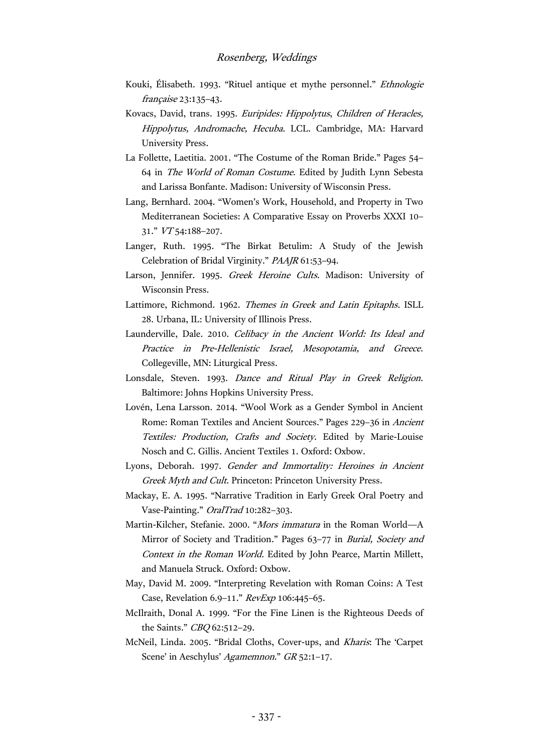- Kouki, Élisabeth. 1993. "Rituel antique et mythe personnel." Ethnologie française 23:135–43.
- Kovacs, David, trans. 1995. Euripides: Hippolytus, Children of Heracles, Hippolytus, Andromache, Hecuba. LCL. Cambridge, MA: Harvard University Press.
- La Follette, Laetitia. 2001. "The Costume of the Roman Bride." Pages 54– 64 in The World of Roman Costume. Edited by Judith Lynn Sebesta and Larissa Bonfante. Madison: University of Wisconsin Press.
- Lang, Bernhard. 2004. "Women's Work, Household, and Property in Two Mediterranean Societies: A Comparative Essay on Proverbs XXXI 10– 31." VT 54:188–207.
- Langer, Ruth. 1995. "The Birkat Betulim: A Study of the Jewish Celebration of Bridal Virginity." PAAJR 61:53–94.
- Larson, Jennifer. 1995. Greek Heroine Cults. Madison: University of Wisconsin Press.
- Lattimore, Richmond. 1962. Themes in Greek and Latin Epitaphs. ISLL 28. Urbana, IL: University of Illinois Press.
- Launderville, Dale. 2010. Celibacy in the Ancient World: Its Ideal and Practice in Pre-Hellenistic Israel, Mesopotamia, and Greece. Collegeville, MN: Liturgical Press.
- Lonsdale, Steven. 1993. Dance and Ritual Play in Greek Religion. Baltimore: Johns Hopkins University Press.
- Lovén, Lena Larsson. 2014. "Wool Work as a Gender Symbol in Ancient Rome: Roman Textiles and Ancient Sources." Pages 229–36 in Ancient Textiles: Production, Crafts and Society. Edited by Marie-Louise Nosch and C. Gillis. Ancient Textiles 1. Oxford: Oxbow.
- Lyons, Deborah. 1997. Gender and Immortality: Heroines in Ancient Greek Myth and Cult. Princeton: Princeton University Press.
- Mackay, E. A. 1995. "Narrative Tradition in Early Greek Oral Poetry and Vase-Painting." OralTrad 10:282–303.
- Martin-Kilcher, Stefanie. 2000. "Mors immatura in the Roman World—A Mirror of Society and Tradition." Pages 63–77 in *Burial, Society and* Context in the Roman World. Edited by John Pearce, Martin Millett, and Manuela Struck. Oxford: Oxbow.
- May, David M. 2009. "Interpreting Revelation with Roman Coins: A Test Case, Revelation 6.9-11." RevExp 106:445-65.
- McIlraith, Donal A. 1999. "For the Fine Linen is the Righteous Deeds of the Saints." CBQ 62:512–29.
- McNeil, Linda. 2005. "Bridal Cloths, Cover-ups, and Kharis: The 'Carpet Scene' in Aeschylus' Agamemnon." GR 52:1-17.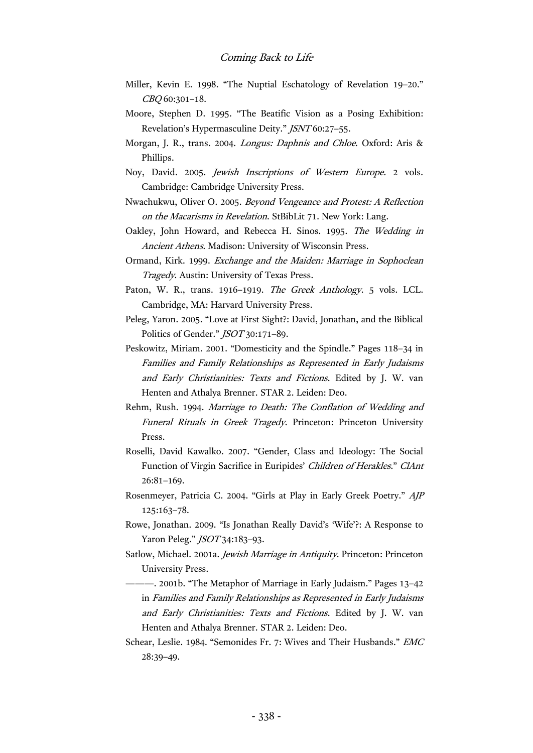- Miller, Kevin E. 1998. "The Nuptial Eschatology of Revelation 19–20." CBQ 60:301–18.
- Moore, Stephen D. 1995. "The Beatific Vision as a Posing Exhibition: Revelation's Hypermasculine Deity." JSNT 60:27–55.
- Morgan, J. R., trans. 2004. Longus: Daphnis and Chloe. Oxford: Aris & Phillips.
- Noy, David. 2005. Jewish Inscriptions of Western Europe. 2 vols. Cambridge: Cambridge University Press.
- Nwachukwu, Oliver O. 2005. Beyond Vengeance and Protest: A Reflection on the Macarisms in Revelation. StBibLit 71. New York: Lang.
- Oakley, John Howard, and Rebecca H. Sinos. 1995. The Wedding in Ancient Athens. Madison: University of Wisconsin Press.
- Ormand, Kirk. 1999. Exchange and the Maiden: Marriage in Sophoclean Tragedy. Austin: University of Texas Press.
- Paton, W. R., trans. 1916–1919. The Greek Anthology. 5 vols. LCL. Cambridge, MA: Harvard University Press.
- Peleg, Yaron. 2005. "Love at First Sight?: David, Jonathan, and the Biblical Politics of Gender." *JSOT* 30:171-89.
- Peskowitz, Miriam. 2001. "Domesticity and the Spindle." Pages 118–34 in Families and Family Relationships as Represented in Early Judaisms and Early Christianities: Texts and Fictions. Edited by J. W. van Henten and Athalya Brenner. STAR 2. Leiden: Deo.
- Rehm, Rush. 1994. Marriage to Death: The Conflation of Wedding and Funeral Rituals in Greek Tragedy. Princeton: Princeton University Press.
- Roselli, David Kawalko. 2007. "Gender, Class and Ideology: The Social Function of Virgin Sacrifice in Euripides' Children of Herakles." ClAnt 26:81–169.
- Rosenmeyer, Patricia C. 2004. "Girls at Play in Early Greek Poetry." AJP 125:163–78.
- Rowe, Jonathan. 2009. "Is Jonathan Really David's 'Wife'?: A Response to Yaron Peleg." *JSOT* 34:183-93.
- Satlow, Michael. 2001a. Jewish Marriage in Antiquity. Princeton: Princeton University Press.
- ———. 2001b. "The Metaphor of Marriage in Early Judaism." Pages 13–42 in Families and Family Relationships as Represented in Early Judaisms and Early Christianities: Texts and Fictions. Edited by J. W. van Henten and Athalya Brenner. STAR 2. Leiden: Deo.
- Schear, Leslie. 1984. "Semonides Fr. 7: Wives and Their Husbands." EMC 28:39–49.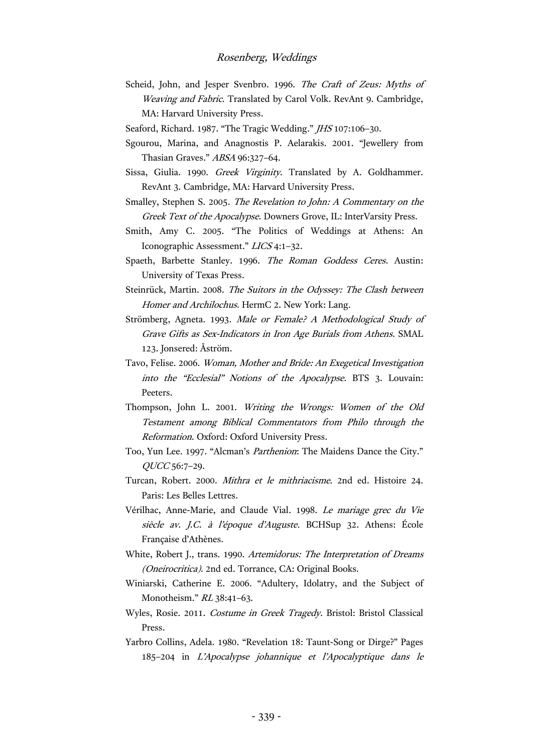- Scheid, John, and Jesper Svenbro. 1996. The Craft of Zeus: Myths of Weaving and Fabric. Translated by Carol Volk. RevAnt 9. Cambridge, MA: Harvard University Press.
- Seaford, Richard. 1987. "The Tragic Wedding." *JHS* 107:106-30.
- Sgourou, Marina, and Anagnostis P. Aelarakis. 2001. "Jewellery from Thasian Graves." ABSA 96:327–64.
- Sissa, Giulia. 1990. Greek Virginity. Translated by A. Goldhammer. RevAnt 3. Cambridge, MA: Harvard University Press.
- Smalley, Stephen S. 2005. The Revelation to John: A Commentary on the Greek Text of the Apocalypse. Downers Grove, IL: InterVarsity Press.
- Smith, Amy C. 2005. "The Politics of Weddings at Athens: An Iconographic Assessment." LICS 4:1–32.
- Spaeth, Barbette Stanley. 1996. The Roman Goddess Ceres. Austin: University of Texas Press.
- Steinrück, Martin. 2008. The Suitors in the Odyssey: The Clash between Homer and Archilochus. HermC 2. New York: Lang.
- Strömberg, Agneta. 1993. Male or Female? A Methodological Study of Grave Gifts as Sex-Indicators in Iron Age Burials from Athens. SMAL 123. Jonsered: Åström.
- Tavo, Felise. 2006. Woman, Mother and Bride: An Exegetical Investigation into the "Ecclesial" Notions of the Apocalypse. BTS 3. Louvain: Peeters.
- Thompson, John L. 2001. Writing the Wrongs: Women of the Old Testament among Biblical Commentators from Philo through the Reformation. Oxford: Oxford University Press.
- Too, Yun Lee. 1997. "Alcman's Parthenion: The Maidens Dance the City." QUCC 56:7–29.
- Turcan, Robert. 2000. Mithra et le mithriacisme. 2nd ed. Histoire 24. Paris: Les Belles Lettres.
- Vérilhac, Anne-Marie, and Claude Vial. 1998. Le mariage grec du Vie siècle av. J.C. à l'époque d'Auguste. BCHSup 32. Athens: École Française d'Athènes.
- White, Robert J., trans. 1990. Artemidorus: The Interpretation of Dreams (Oneirocritica). 2nd ed. Torrance, CA: Original Books.
- Winiarski, Catherine E. 2006. "Adultery, Idolatry, and the Subject of Monotheism." RL 38:41–63.
- Wyles, Rosie. 2011. Costume in Greek Tragedy. Bristol: Bristol Classical Press.
- Yarbro Collins, Adela. 1980. "Revelation 18: Taunt-Song or Dirge?" Pages 185–204 in L'Apocalypse johannique et l'Apocalyptique dans le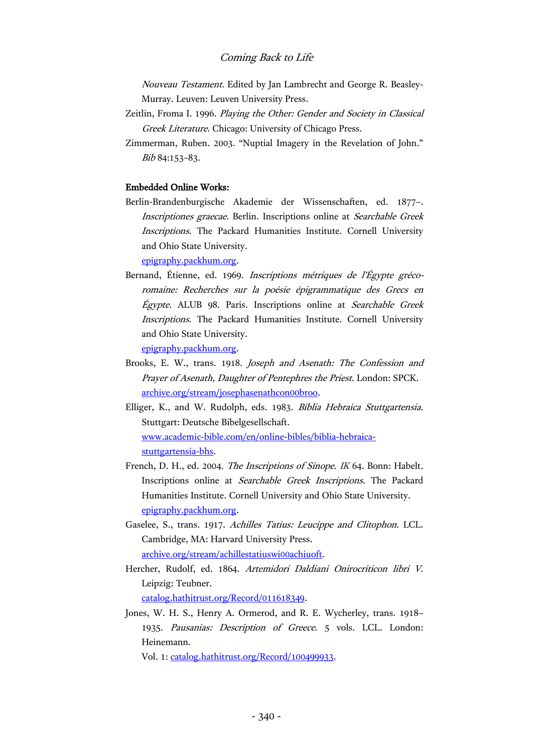Nouveau Testament. Edited by Jan Lambrecht and George R. Beasley-Murray. Leuven: Leuven University Press.

- Zeitlin, Froma I. 1996. Playing the Other: Gender and Society in Classical Greek Literature. Chicago: University of Chicago Press.
- Zimmerman, Ruben. 2003. "Nuptial Imagery in the Revelation of John." Bib 84:153–83.

#### Embedded Online Works:

Berlin-Brandenburgische Akademie der Wissenschaften, ed. 1877–. Inscriptiones graecae. Berlin. Inscriptions online at Searchable Greek Inscriptions. The Packard Humanities Institute. Cornell University and Ohio State University.

[epigraphy.packhum.org.](http://epigraphy.packhum.org/)

Bernand, Étienne, ed. 1969. Inscriptions métriques de l'Égypte grécoromaine: Recherches sur la poésie épigrammatique des Grecs en Égypte. ALUB 98. Paris. Inscriptions online at Searchable Greek Inscriptions. The Packard Humanities Institute. Cornell University and Ohio State University.

[epigraphy.packhum.org.](http://epigraphy.packhum.org/)

- Brooks, E. W., trans. 1918. Joseph and Asenath: The Confession and Prayer of Asenath, Daughter of Pentephres the Priest. London: SPCK. [archive.org/stream/josephasenathcon00broo.](https://archive.org/stream/josephasenathcon00broo)
- Elliger, K., and W. Rudolph, eds. 1983. Biblia Hebraica Stuttgartensia. Stuttgart: Deutsche Bibelgesellschaft. [www.academic-bible.com/en/online-bibles/biblia-hebraica](http://www.academic-bible.com/en/online-bibles/biblia-hebraica-stuttgartensia-bhs)[stuttgartensia-bhs.](http://www.academic-bible.com/en/online-bibles/biblia-hebraica-stuttgartensia-bhs)
- French, D. H., ed. 2004. The Inscriptions of Sinope. IK 64. Bonn: Habelt. Inscriptions online at Searchable Greek Inscriptions. The Packard Humanities Institute. Cornell University and Ohio State University. [epigraphy.packhum.org.](http://epigraphy.packhum.org/)
- Gaselee, S., trans. 1917. Achilles Tatius: Leucippe and Clitophon. LCL. Cambridge, MA: Harvard University Press. [archive.org/stream/achillestatiuswi00achiuoft.](https://archive.org/stream/achillestatiuswi00achiuoft)
- Hercher, Rudolf, ed. 1864. Artemidori Daldiani Onirocriticon libri V. Leipzig: Teubner. [catalog.hathitrust.org/Record/011618349.](https://catalog.hathitrust.org/Record/011618349)
- Jones, W. H. S., Henry A. Ormerod, and R. E. Wycherley, trans. 1918– 1935. Pausanias: Description of Greece. 5 vols. LCL. London: Heinemann.

Vol. 1: [catalog.hathitrust.org/Record/100499933.](https://catalog.hathitrust.org/Record/100499933)